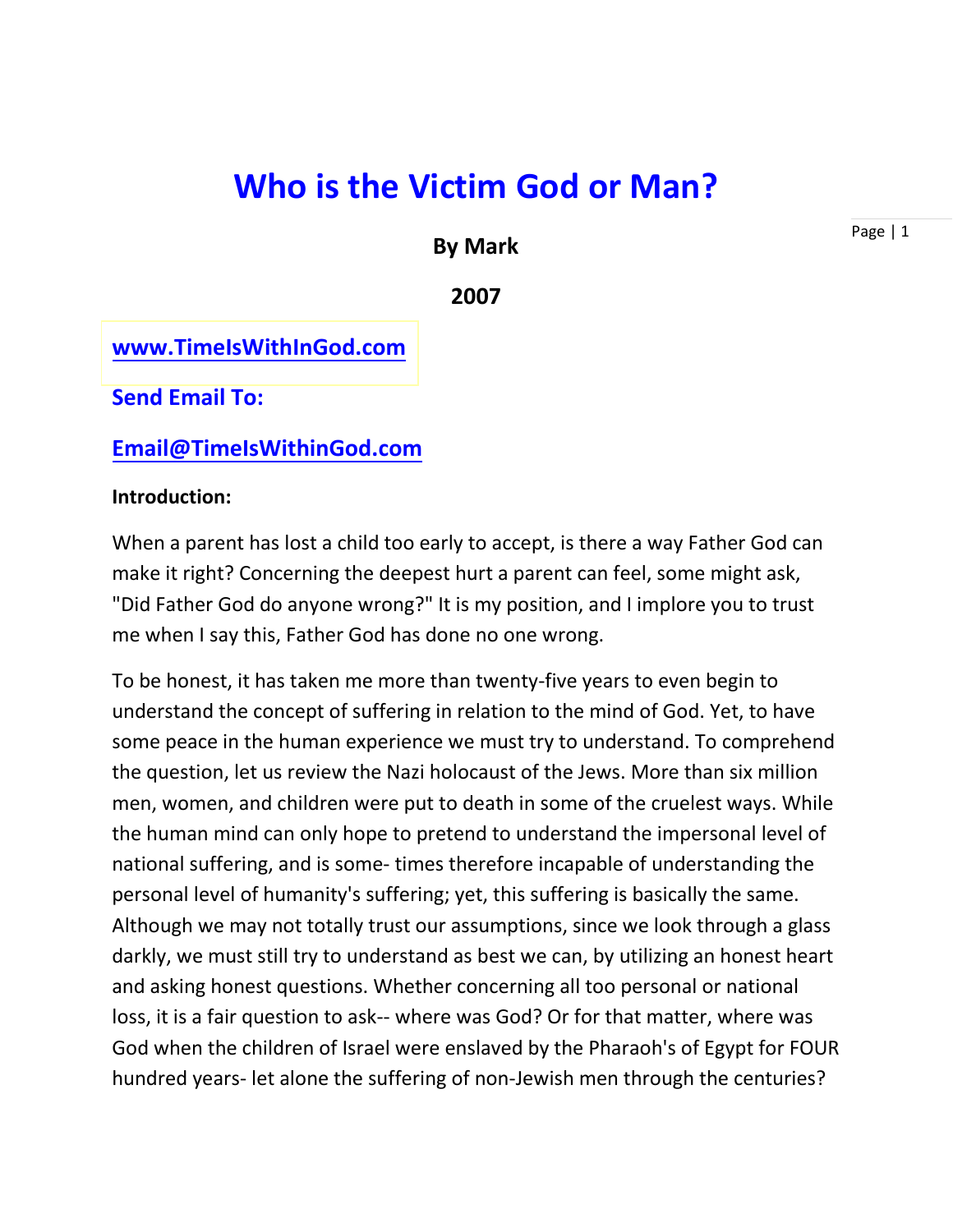# **Who is the Victim God or Man?**

## **By Mark**

Page | 1

#### **2007**

# **[www.TimeIsWithInGod.com](http://www.timeiswithingod.com/)**

**Send Email To:**

#### **[Email@TimeIsWithinGod.com](mailto:Email@TimeIsWithinGod.com)**

#### **Introduction:**

When a parent has lost a child too early to accept, is there a way Father God can make it right? Concerning the deepest hurt a parent can feel, some might ask, "Did Father God do anyone wrong?" It is my position, and I implore you to trust me when I say this, Father God has done no one wrong.

To be honest, it has taken me more than twenty-five years to even begin to understand the concept of suffering in relation to the mind of God. Yet, to have some peace in the human experience we must try to understand. To comprehend the question, let us review the Nazi holocaust of the Jews. More than six million men, women, and children were put to death in some of the cruelest ways. While the human mind can only hope to pretend to understand the impersonal level of national suffering, and is some- times therefore incapable of understanding the personal level of humanity's suffering; yet, this suffering is basically the same. Although we may not totally trust our assumptions, since we look through a glass darkly, we must still try to understand as best we can, by utilizing an honest heart and asking honest questions. Whether concerning all too personal or national loss, it is a fair question to ask-- where was God? Or for that matter, where was God when the children of Israel were enslaved by the Pharaoh's of Egypt for FOUR hundred years- let alone the suffering of non-Jewish men through the centuries?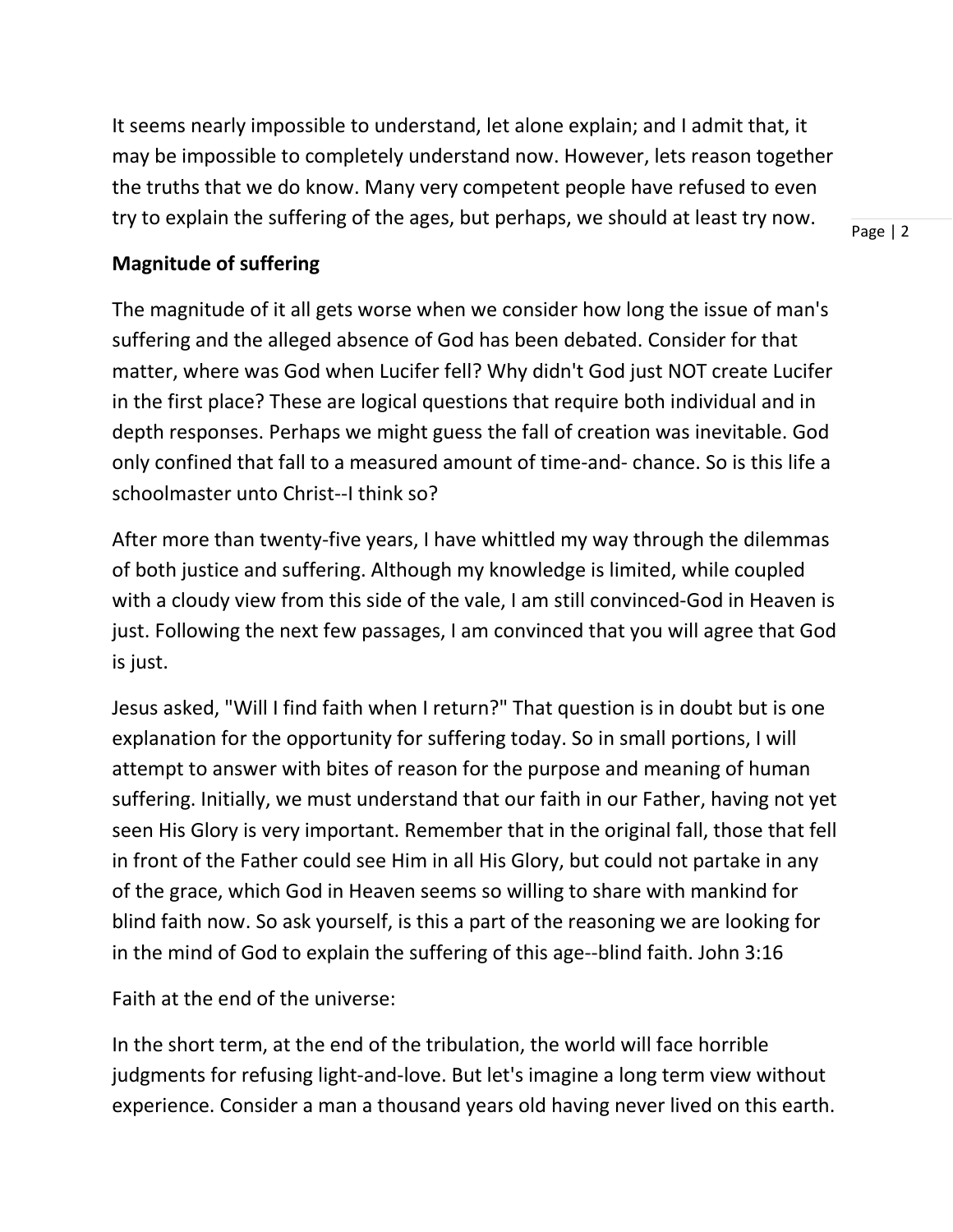It seems nearly impossible to understand, let alone explain; and I admit that, it may be impossible to completely understand now. However, lets reason together the truths that we do know. Many very competent people have refused to even try to explain the suffering of the ages, but perhaps, we should at least try now.

Page | 2

# **Magnitude of suffering**

The magnitude of it all gets worse when we consider how long the issue of man's suffering and the alleged absence of God has been debated. Consider for that matter, where was God when Lucifer fell? Why didn't God just NOT create Lucifer in the first place? These are logical questions that require both individual and in depth responses. Perhaps we might guess the fall of creation was inevitable. God only confined that fall to a measured amount of time-and- chance. So is this life a schoolmaster unto Christ--I think so?

After more than twenty-five years, I have whittled my way through the dilemmas of both justice and suffering. Although my knowledge is limited, while coupled with a cloudy view from this side of the vale, I am still convinced-God in Heaven is just. Following the next few passages, I am convinced that you will agree that God is just.

Jesus asked, "Will I find faith when I return?" That question is in doubt but is one explanation for the opportunity for suffering today. So in small portions, I will attempt to answer with bites of reason for the purpose and meaning of human suffering. Initially, we must understand that our faith in our Father, having not yet seen His Glory is very important. Remember that in the original fall, those that fell in front of the Father could see Him in all His Glory, but could not partake in any of the grace, which God in Heaven seems so willing to share with mankind for blind faith now. So ask yourself, is this a part of the reasoning we are looking for in the mind of God to explain the suffering of this age--blind faith. John 3:16

Faith at the end of the universe:

In the short term, at the end of the tribulation, the world will face horrible judgments for refusing light-and-love. But let's imagine a long term view without experience. Consider a man a thousand years old having never lived on this earth.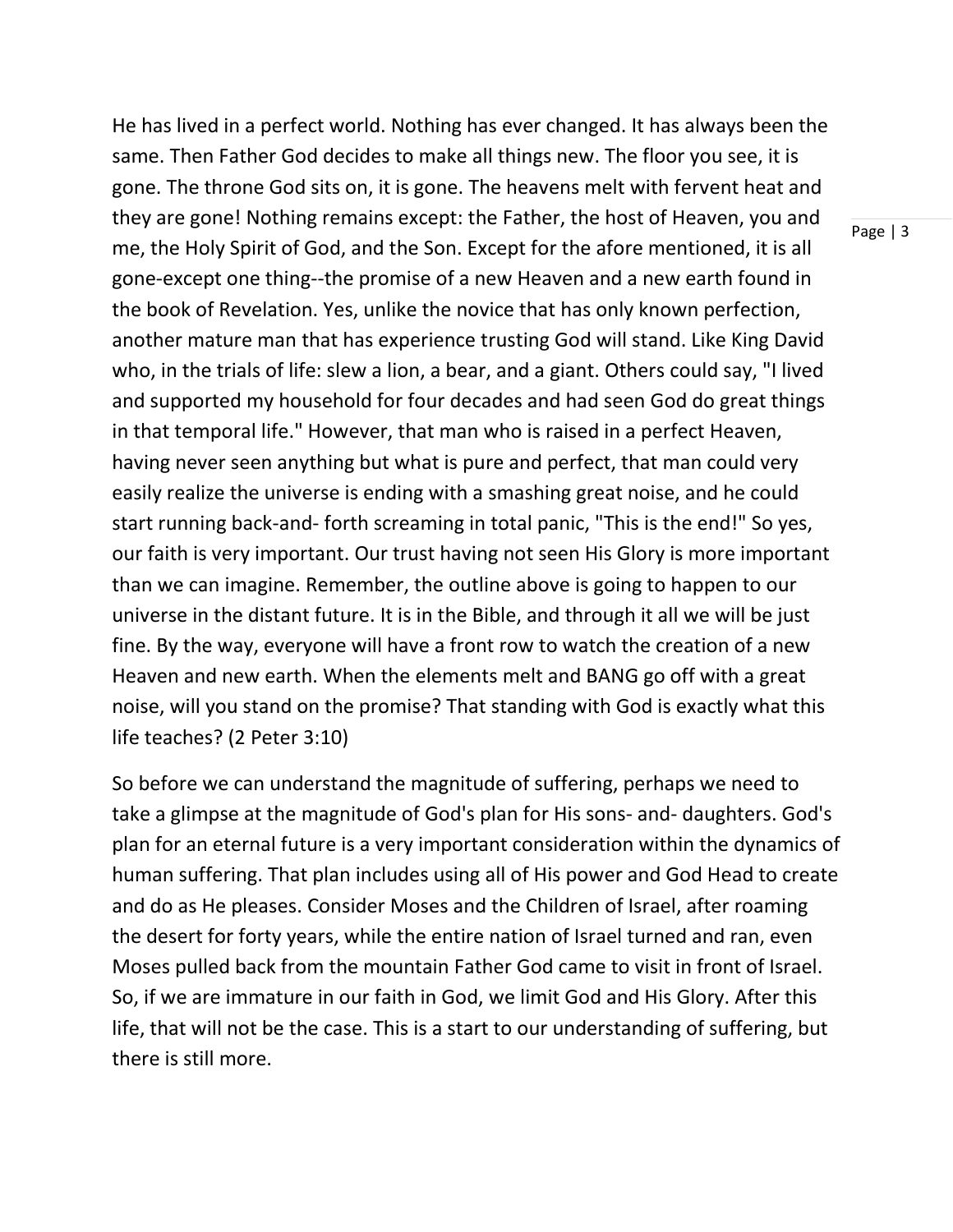He has lived in a perfect world. Nothing has ever changed. It has always been the same. Then Father God decides to make all things new. The floor you see, it is gone. The throne God sits on, it is gone. The heavens melt with fervent heat and they are gone! Nothing remains except: the Father, the host of Heaven, you and me, the Holy Spirit of God, and the Son. Except for the afore mentioned, it is all gone-except one thing--the promise of a new Heaven and a new earth found in the book of Revelation. Yes, unlike the novice that has only known perfection, another mature man that has experience trusting God will stand. Like King David who, in the trials of life: slew a lion, a bear, and a giant. Others could say, "I lived and supported my household for four decades and had seen God do great things in that temporal life." However, that man who is raised in a perfect Heaven, having never seen anything but what is pure and perfect, that man could very easily realize the universe is ending with a smashing great noise, and he could start running back-and- forth screaming in total panic, "This is the end!" So yes, our faith is very important. Our trust having not seen His Glory is more important than we can imagine. Remember, the outline above is going to happen to our universe in the distant future. It is in the Bible, and through it all we will be just fine. By the way, everyone will have a front row to watch the creation of a new Heaven and new earth. When the elements melt and BANG go off with a great noise, will you stand on the promise? That standing with God is exactly what this life teaches? (2 Peter 3:10)

So before we can understand the magnitude of suffering, perhaps we need to take a glimpse at the magnitude of God's plan for His sons- and- daughters. God's plan for an eternal future is a very important consideration within the dynamics of human suffering. That plan includes using all of His power and God Head to create and do as He pleases. Consider Moses and the Children of Israel, after roaming the desert for forty years, while the entire nation of Israel turned and ran, even Moses pulled back from the mountain Father God came to visit in front of Israel. So, if we are immature in our faith in God, we limit God and His Glory. After this life, that will not be the case. This is a start to our understanding of suffering, but there is still more.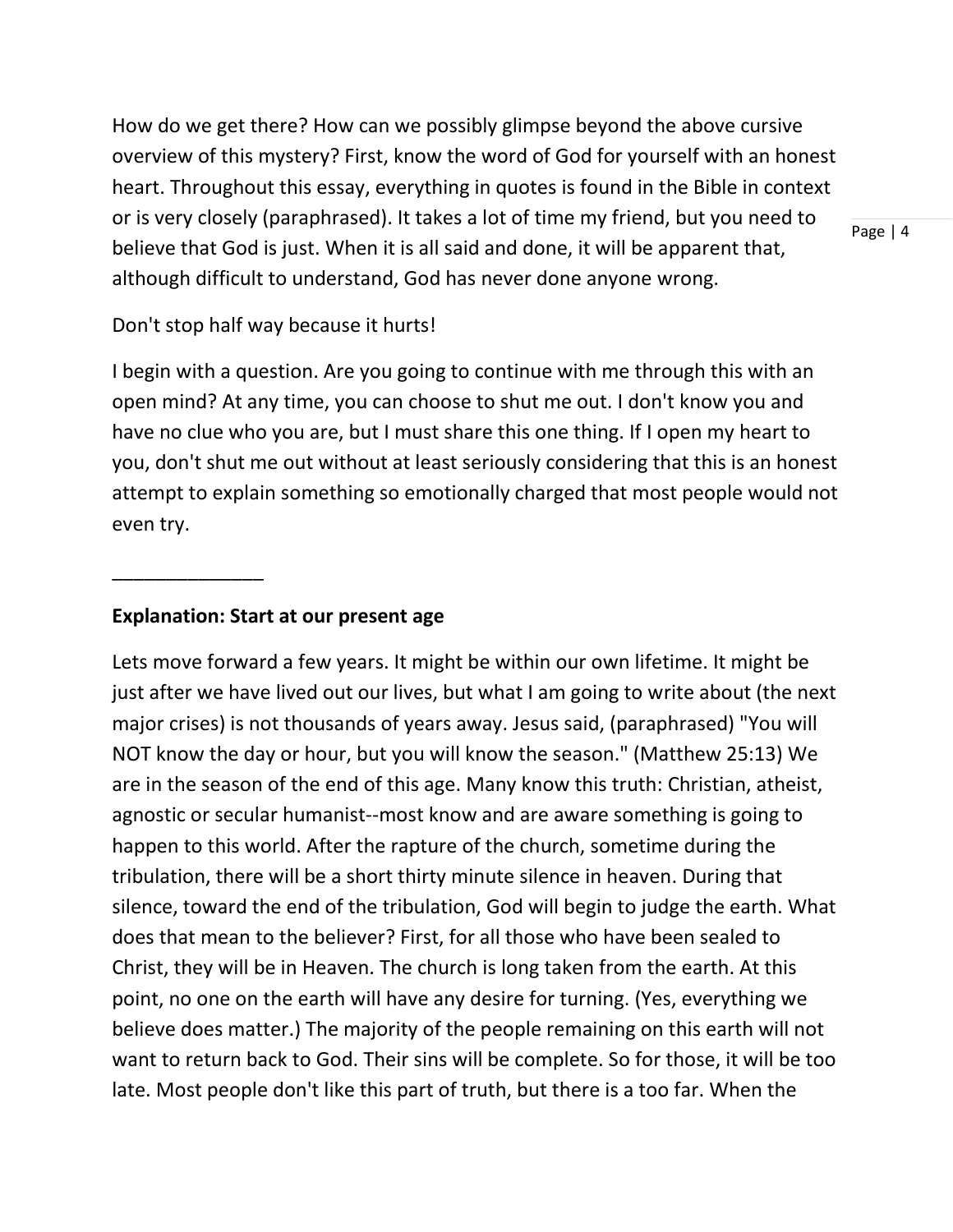How do we get there? How can we possibly glimpse beyond the above cursive overview of this mystery? First, know the word of God for yourself with an honest heart. Throughout this essay, everything in quotes is found in the Bible in context or is very closely (paraphrased). It takes a lot of time my friend, but you need to believe that God is just. When it is all said and done, it will be apparent that, although difficult to understand, God has never done anyone wrong.

Don't stop half way because it hurts!

I begin with a question. Are you going to continue with me through this with an open mind? At any time, you can choose to shut me out. I don't know you and have no clue who you are, but I must share this one thing. If I open my heart to you, don't shut me out without at least seriously considering that this is an honest attempt to explain something so emotionally charged that most people would not even try.

#### **Explanation: Start at our present age**

\_\_\_\_\_\_\_\_\_\_\_\_\_\_

Lets move forward a few years. It might be within our own lifetime. It might be just after we have lived out our lives, but what I am going to write about (the next major crises) is not thousands of years away. Jesus said, (paraphrased) "You will NOT know the day or hour, but you will know the season." (Matthew 25:13) We are in the season of the end of this age. Many know this truth: Christian, atheist, agnostic or secular humanist--most know and are aware something is going to happen to this world. After the rapture of the church, sometime during the tribulation, there will be a short thirty minute silence in heaven. During that silence, toward the end of the tribulation, God will begin to judge the earth. What does that mean to the believer? First, for all those who have been sealed to Christ, they will be in Heaven. The church is long taken from the earth. At this point, no one on the earth will have any desire for turning. (Yes, everything we believe does matter.) The majority of the people remaining on this earth will not want to return back to God. Their sins will be complete. So for those, it will be too late. Most people don't like this part of truth, but there is a too far. When the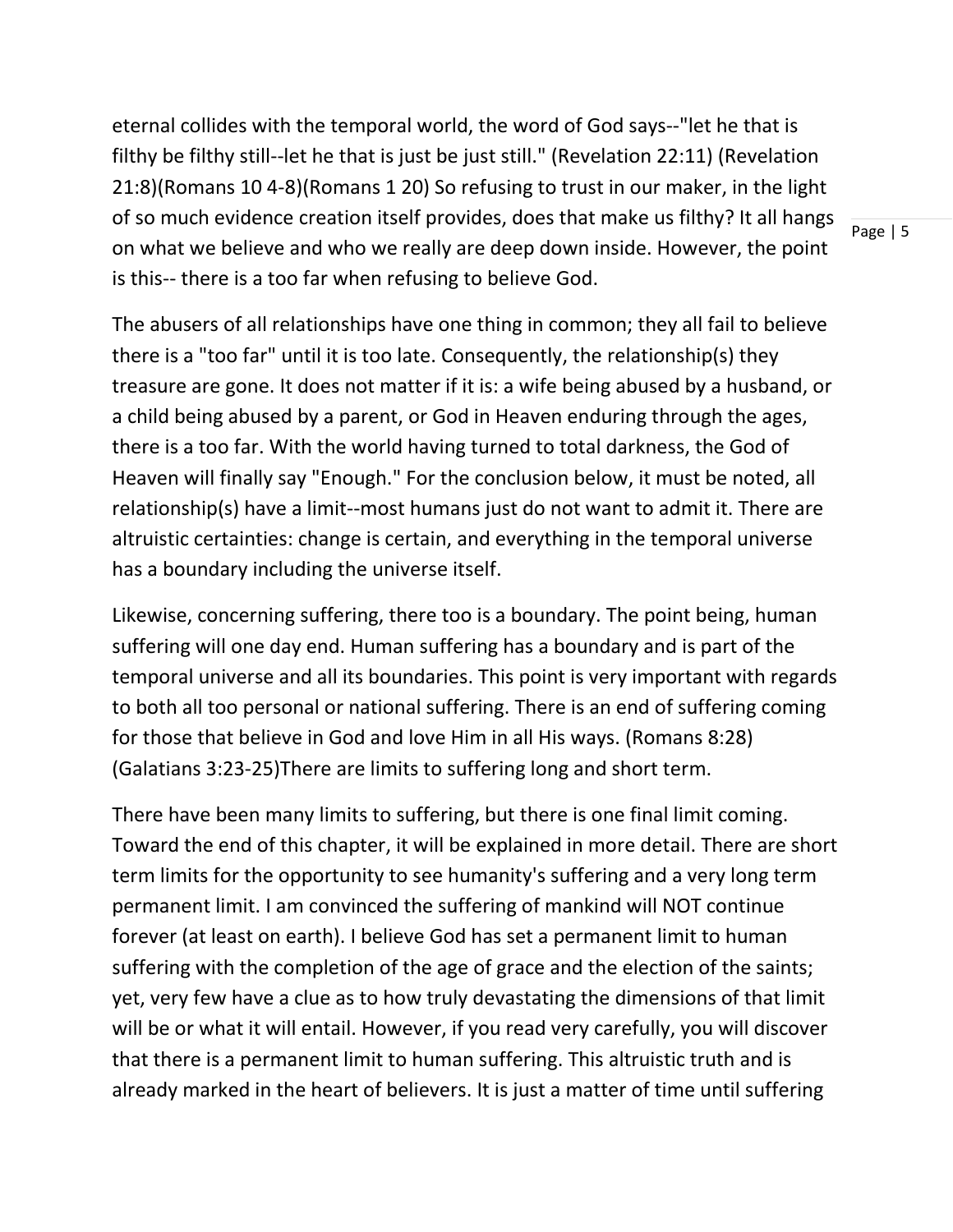eternal collides with the temporal world, the word of God says--"let he that is filthy be filthy still--let he that is just be just still." (Revelation 22:11) (Revelation 21:8)(Romans 10 4-8)(Romans 1 20) So refusing to trust in our maker, in the light of so much evidence creation itself provides, does that make us filthy? It all hangs on what we believe and who we really are deep down inside. However, the point is this-- there is a too far when refusing to believe God.

The abusers of all relationships have one thing in common; they all fail to believe there is a "too far" until it is too late. Consequently, the relationship(s) they treasure are gone. It does not matter if it is: a wife being abused by a husband, or a child being abused by a parent, or God in Heaven enduring through the ages, there is a too far. With the world having turned to total darkness, the God of Heaven will finally say "Enough." For the conclusion below, it must be noted, all relationship(s) have a limit--most humans just do not want to admit it. There are altruistic certainties: change is certain, and everything in the temporal universe has a boundary including the universe itself.

Likewise, concerning suffering, there too is a boundary. The point being, human suffering will one day end. Human suffering has a boundary and is part of the temporal universe and all its boundaries. This point is very important with regards to both all too personal or national suffering. There is an end of suffering coming for those that believe in God and love Him in all His ways. (Romans 8:28) (Galatians 3:23-25)There are limits to suffering long and short term.

There have been many limits to suffering, but there is one final limit coming. Toward the end of this chapter, it will be explained in more detail. There are short term limits for the opportunity to see humanity's suffering and a very long term permanent limit. I am convinced the suffering of mankind will NOT continue forever (at least on earth). I believe God has set a permanent limit to human suffering with the completion of the age of grace and the election of the saints; yet, very few have a clue as to how truly devastating the dimensions of that limit will be or what it will entail. However, if you read very carefully, you will discover that there is a permanent limit to human suffering. This altruistic truth and is already marked in the heart of believers. It is just a matter of time until suffering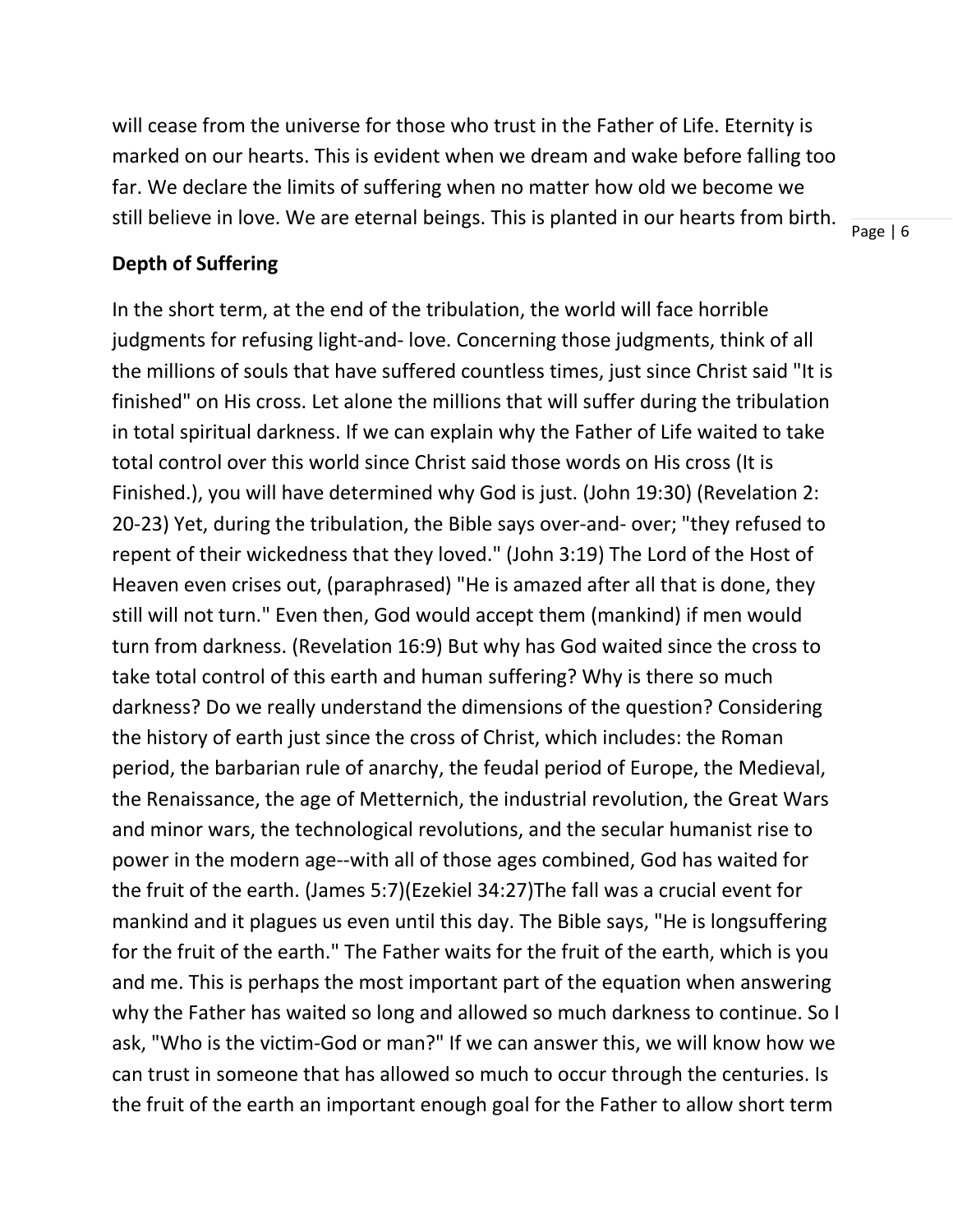will cease from the universe for those who trust in the Father of Life. Eternity is marked on our hearts. This is evident when we dream and wake before falling too far. We declare the limits of suffering when no matter how old we become we still believe in love. We are eternal beings. This is planted in our hearts from birth.

Page | 6

#### **Depth of Suffering**

In the short term, at the end of the tribulation, the world will face horrible judgments for refusing light-and- love. Concerning those judgments, think of all the millions of souls that have suffered countless times, just since Christ said "It is finished" on His cross. Let alone the millions that will suffer during the tribulation in total spiritual darkness. If we can explain why the Father of Life waited to take total control over this world since Christ said those words on His cross (It is Finished.), you will have determined why God is just. (John 19:30) (Revelation 2: 20-23) Yet, during the tribulation, the Bible says over-and- over; "they refused to repent of their wickedness that they loved." (John 3:19) The Lord of the Host of Heaven even crises out, (paraphrased) "He is amazed after all that is done, they still will not turn." Even then, God would accept them (mankind) if men would turn from darkness. (Revelation 16:9) But why has God waited since the cross to take total control of this earth and human suffering? Why is there so much darkness? Do we really understand the dimensions of the question? Considering the history of earth just since the cross of Christ, which includes: the Roman period, the barbarian rule of anarchy, the feudal period of Europe, the Medieval, the Renaissance, the age of Metternich, the industrial revolution, the Great Wars and minor wars, the technological revolutions, and the secular humanist rise to power in the modern age--with all of those ages combined, God has waited for the fruit of the earth. (James 5:7)(Ezekiel 34:27)The fall was a crucial event for mankind and it plagues us even until this day. The Bible says, "He is longsuffering for the fruit of the earth." The Father waits for the fruit of the earth, which is you and me. This is perhaps the most important part of the equation when answering why the Father has waited so long and allowed so much darkness to continue. So I ask, "Who is the victim-God or man?" If we can answer this, we will know how we can trust in someone that has allowed so much to occur through the centuries. Is the fruit of the earth an important enough goal for the Father to allow short term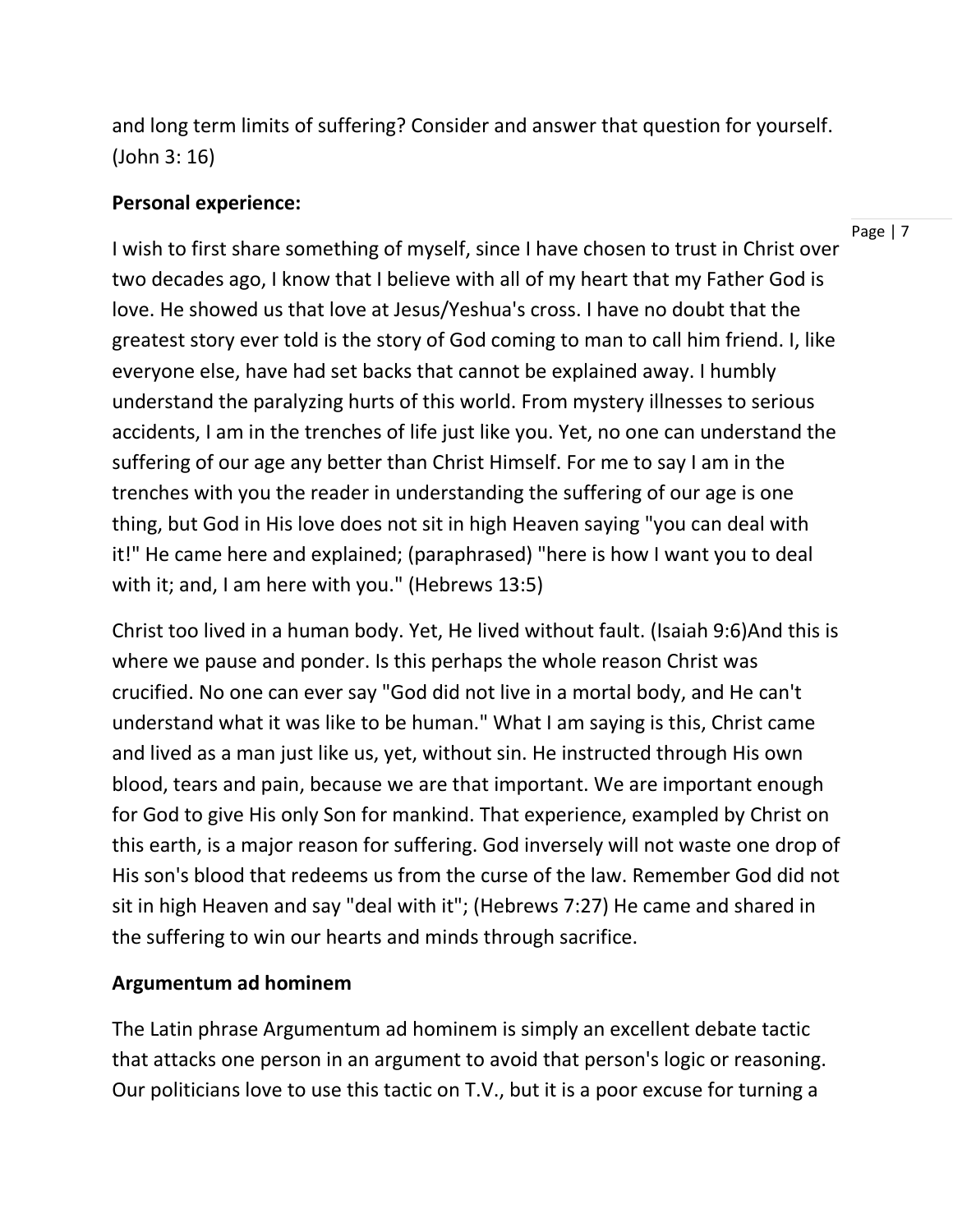and long term limits of suffering? Consider and answer that question for yourself. (John 3: 16)

## **Personal experience:**

I wish to first share something of myself, since I have chosen to trust in Christ over two decades ago, I know that I believe with all of my heart that my Father God is love. He showed us that love at Jesus/Yeshua's cross. I have no doubt that the greatest story ever told is the story of God coming to man to call him friend. I, like everyone else, have had set backs that cannot be explained away. I humbly understand the paralyzing hurts of this world. From mystery illnesses to serious accidents, I am in the trenches of life just like you. Yet, no one can understand the suffering of our age any better than Christ Himself. For me to say I am in the trenches with you the reader in understanding the suffering of our age is one thing, but God in His love does not sit in high Heaven saying "you can deal with it!" He came here and explained; (paraphrased) "here is how I want you to deal with it; and, I am here with you." (Hebrews 13:5)

Christ too lived in a human body. Yet, He lived without fault. (Isaiah 9:6)And this is where we pause and ponder. Is this perhaps the whole reason Christ was crucified. No one can ever say "God did not live in a mortal body, and He can't understand what it was like to be human." What I am saying is this, Christ came and lived as a man just like us, yet, without sin. He instructed through His own blood, tears and pain, because we are that important. We are important enough for God to give His only Son for mankind. That experience, exampled by Christ on this earth, is a major reason for suffering. God inversely will not waste one drop of His son's blood that redeems us from the curse of the law. Remember God did not sit in high Heaven and say "deal with it"; (Hebrews 7:27) He came and shared in the suffering to win our hearts and minds through sacrifice.

#### **Argumentum ad hominem**

The Latin phrase Argumentum ad hominem is simply an excellent debate tactic that attacks one person in an argument to avoid that person's logic or reasoning. Our politicians love to use this tactic on T.V., but it is a poor excuse for turning a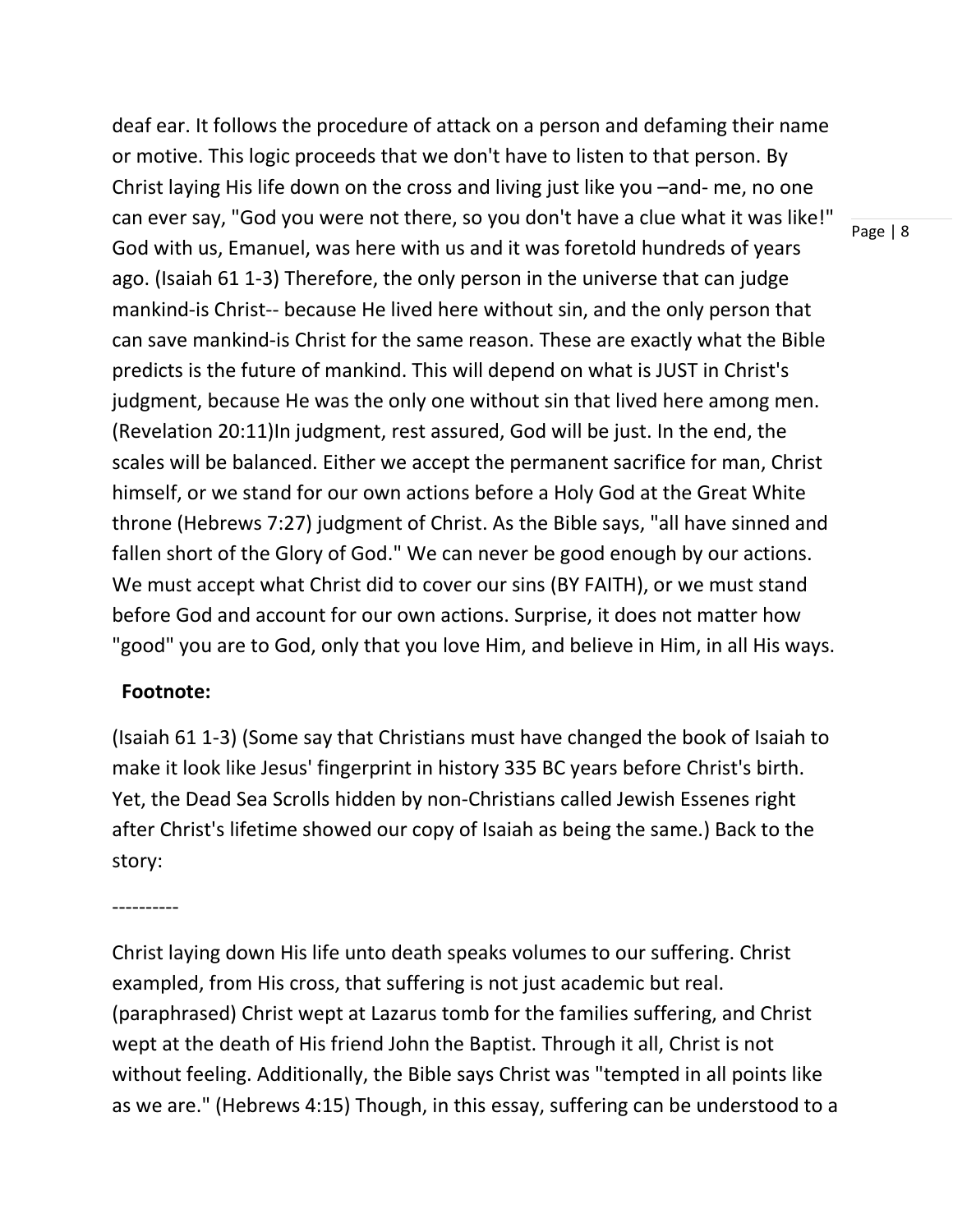deaf ear. It follows the procedure of attack on a person and defaming their name or motive. This logic proceeds that we don't have to listen to that person. By Christ laying His life down on the cross and living just like you –and- me, no one can ever say, "God you were not there, so you don't have a clue what it was like!" God with us, Emanuel, was here with us and it was foretold hundreds of years ago. (Isaiah 61 1-3) Therefore, the only person in the universe that can judge mankind-is Christ-- because He lived here without sin, and the only person that can save mankind-is Christ for the same reason. These are exactly what the Bible predicts is the future of mankind. This will depend on what is JUST in Christ's judgment, because He was the only one without sin that lived here among men. (Revelation 20:11)In judgment, rest assured, God will be just. In the end, the scales will be balanced. Either we accept the permanent sacrifice for man, Christ himself, or we stand for our own actions before a Holy God at the Great White throne (Hebrews 7:27) judgment of Christ. As the Bible says, "all have sinned and fallen short of the Glory of God." We can never be good enough by our actions. We must accept what Christ did to cover our sins (BY FAITH), or we must stand before God and account for our own actions. Surprise, it does not matter how "good" you are to God, only that you love Him, and believe in Him, in all His ways.

#### **Footnote:**

(Isaiah 61 1-3) (Some say that Christians must have changed the book of Isaiah to make it look like Jesus' fingerprint in history 335 BC years before Christ's birth. Yet, the Dead Sea Scrolls hidden by non-Christians called Jewish Essenes right after Christ's lifetime showed our copy of Isaiah as being the same.) Back to the story:

----------

Christ laying down His life unto death speaks volumes to our suffering. Christ exampled, from His cross, that suffering is not just academic but real. (paraphrased) Christ wept at Lazarus tomb for the families suffering, and Christ wept at the death of His friend John the Baptist. Through it all, Christ is not without feeling. Additionally, the Bible says Christ was "tempted in all points like as we are." (Hebrews 4:15) Though, in this essay, suffering can be understood to a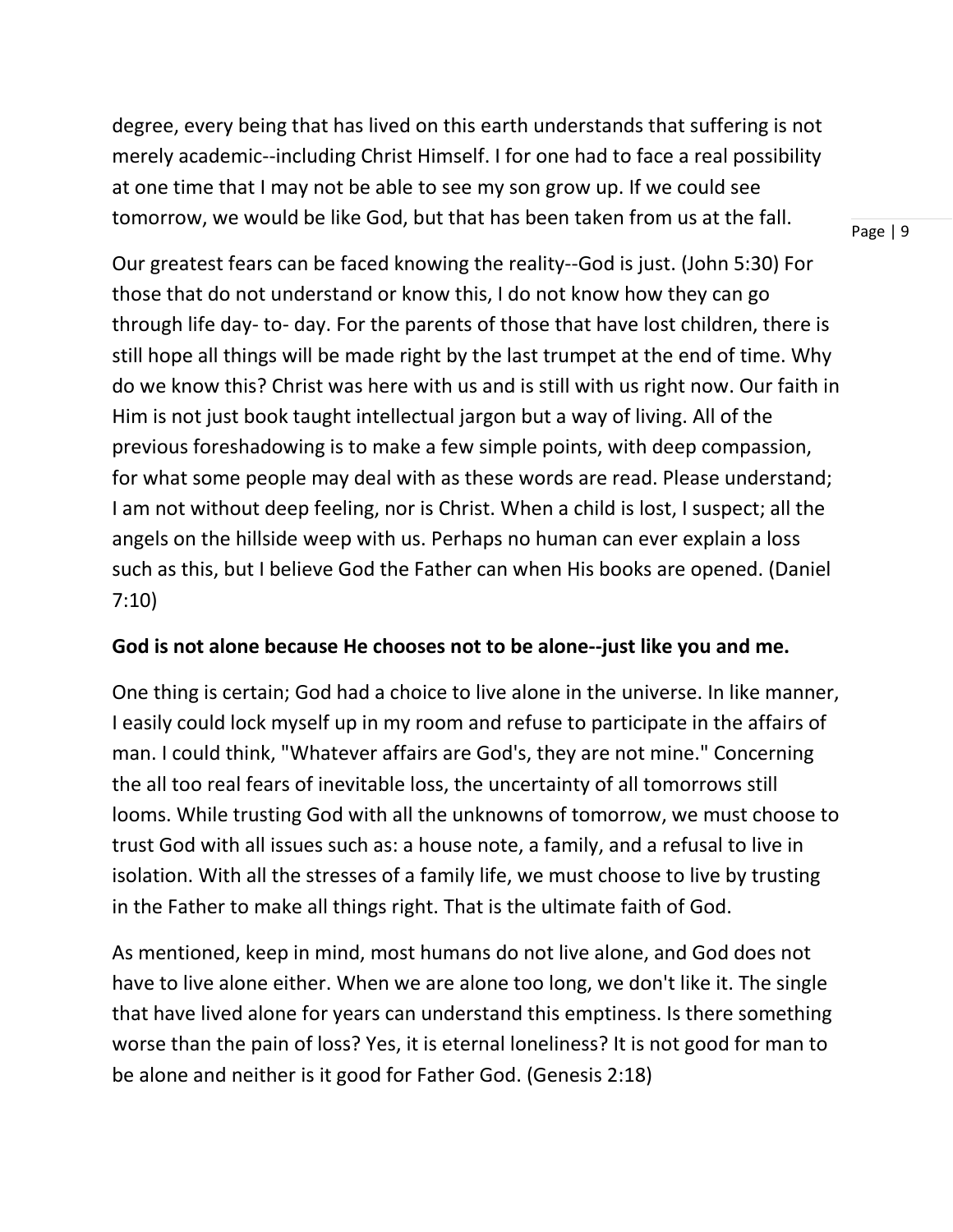degree, every being that has lived on this earth understands that suffering is not merely academic--including Christ Himself. I for one had to face a real possibility at one time that I may not be able to see my son grow up. If we could see tomorrow, we would be like God, but that has been taken from us at the fall.

Our greatest fears can be faced knowing the reality--God is just. (John 5:30) For those that do not understand or know this, I do not know how they can go through life day- to- day. For the parents of those that have lost children, there is still hope all things will be made right by the last trumpet at the end of time. Why do we know this? Christ was here with us and is still with us right now. Our faith in Him is not just book taught intellectual jargon but a way of living. All of the previous foreshadowing is to make a few simple points, with deep compassion, for what some people may deal with as these words are read. Please understand; I am not without deep feeling, nor is Christ. When a child is lost, I suspect; all the angels on the hillside weep with us. Perhaps no human can ever explain a loss such as this, but I believe God the Father can when His books are opened. (Daniel

#### 7:10)

#### **God is not alone because He chooses not to be alone--just like you and me.**

One thing is certain; God had a choice to live alone in the universe. In like manner, I easily could lock myself up in my room and refuse to participate in the affairs of man. I could think, "Whatever affairs are God's, they are not mine." Concerning the all too real fears of inevitable loss, the uncertainty of all tomorrows still looms. While trusting God with all the unknowns of tomorrow, we must choose to trust God with all issues such as: a house note, a family, and a refusal to live in isolation. With all the stresses of a family life, we must choose to live by trusting in the Father to make all things right. That is the ultimate faith of God.

As mentioned, keep in mind, most humans do not live alone, and God does not have to live alone either. When we are alone too long, we don't like it. The single that have lived alone for years can understand this emptiness. Is there something worse than the pain of loss? Yes, it is eternal loneliness? It is not good for man to be alone and neither is it good for Father God. (Genesis 2:18)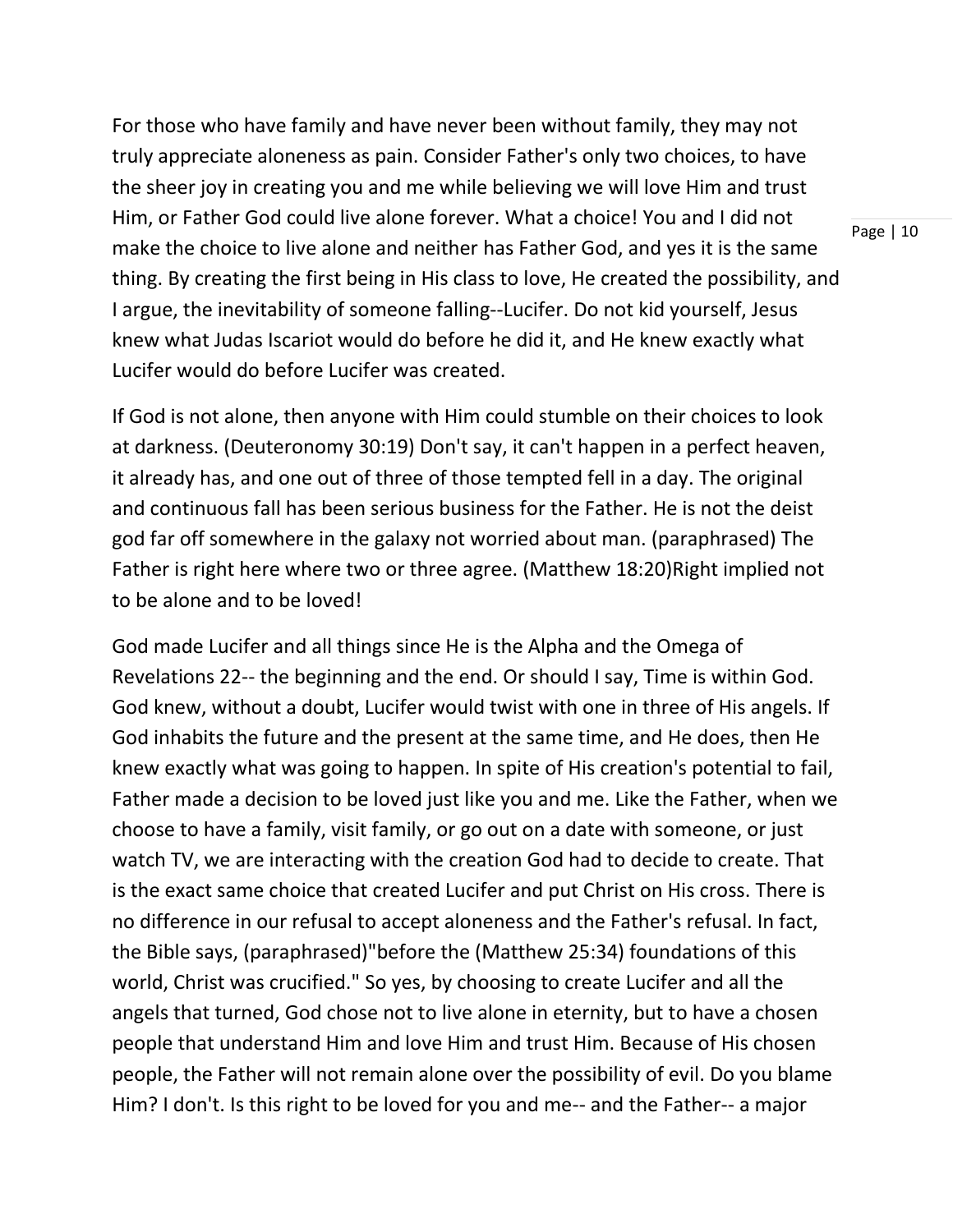For those who have family and have never been without family, they may not truly appreciate aloneness as pain. Consider Father's only two choices, to have the sheer joy in creating you and me while believing we will love Him and trust Him, or Father God could live alone forever. What a choice! You and I did not make the choice to live alone and neither has Father God, and yes it is the same thing. By creating the first being in His class to love, He created the possibility, and I argue, the inevitability of someone falling--Lucifer. Do not kid yourself, Jesus knew what Judas Iscariot would do before he did it, and He knew exactly what Lucifer would do before Lucifer was created.

If God is not alone, then anyone with Him could stumble on their choices to look at darkness. (Deuteronomy 30:19) Don't say, it can't happen in a perfect heaven, it already has, and one out of three of those tempted fell in a day. The original and continuous fall has been serious business for the Father. He is not the deist god far off somewhere in the galaxy not worried about man. (paraphrased) The Father is right here where two or three agree. (Matthew 18:20)Right implied not to be alone and to be loved!

God made Lucifer and all things since He is the Alpha and the Omega of Revelations 22-- the beginning and the end. Or should I say, Time is within God. God knew, without a doubt, Lucifer would twist with one in three of His angels. If God inhabits the future and the present at the same time, and He does, then He knew exactly what was going to happen. In spite of His creation's potential to fail, Father made a decision to be loved just like you and me. Like the Father, when we choose to have a family, visit family, or go out on a date with someone, or just watch TV, we are interacting with the creation God had to decide to create. That is the exact same choice that created Lucifer and put Christ on His cross. There is no difference in our refusal to accept aloneness and the Father's refusal. In fact, the Bible says, (paraphrased)"before the (Matthew 25:34) foundations of this world, Christ was crucified." So yes, by choosing to create Lucifer and all the angels that turned, God chose not to live alone in eternity, but to have a chosen people that understand Him and love Him and trust Him. Because of His chosen people, the Father will not remain alone over the possibility of evil. Do you blame Him? I don't. Is this right to be loved for you and me-- and the Father-- a major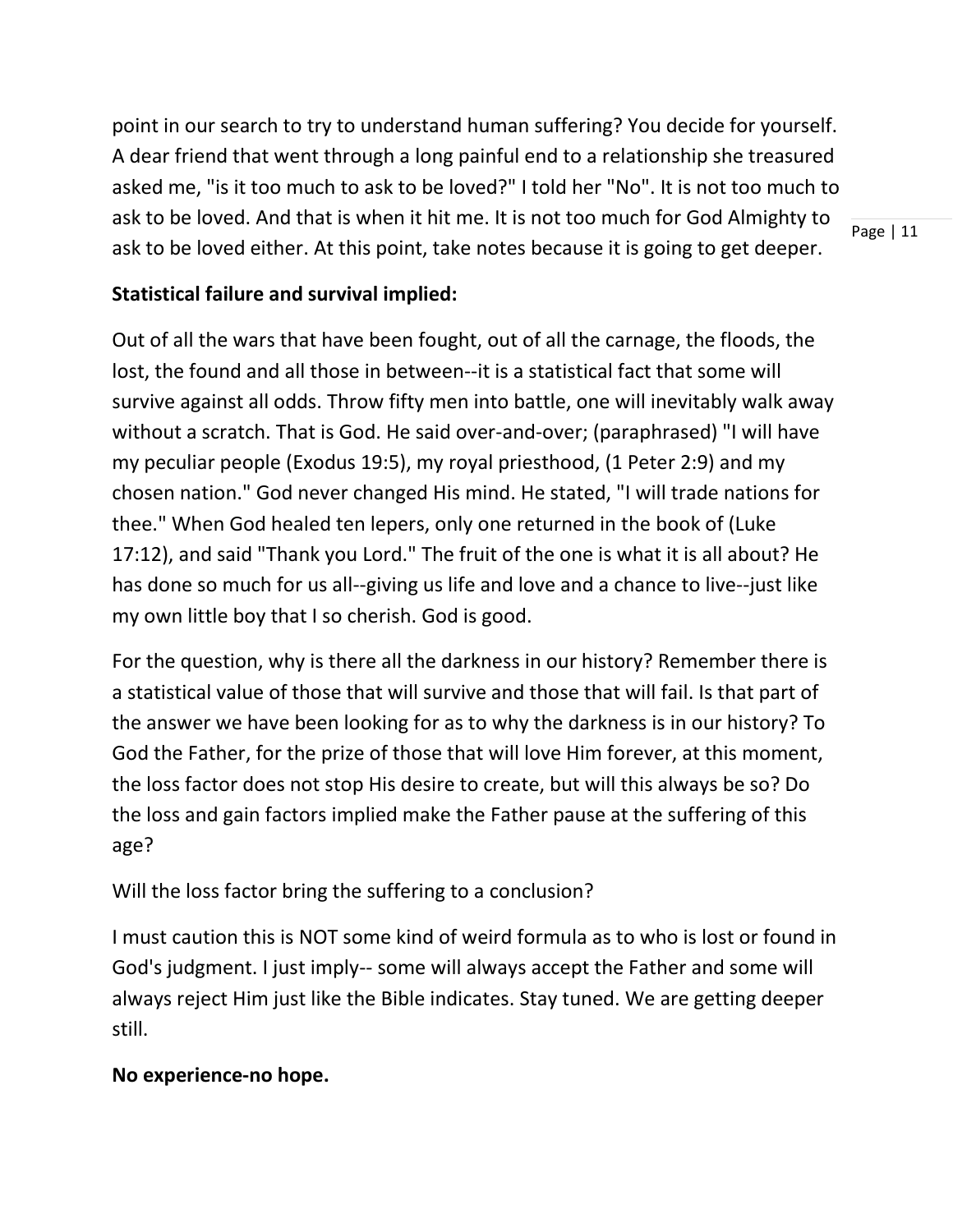point in our search to try to understand human suffering? You decide for yourself. A dear friend that went through a long painful end to a relationship she treasured asked me, "is it too much to ask to be loved?" I told her "No". It is not too much to ask to be loved. And that is when it hit me. It is not too much for God Almighty to ask to be loved either. At this point, take notes because it is going to get deeper.

Page | 11

# **Statistical failure and survival implied:**

Out of all the wars that have been fought, out of all the carnage, the floods, the lost, the found and all those in between--it is a statistical fact that some will survive against all odds. Throw fifty men into battle, one will inevitably walk away without a scratch. That is God. He said over-and-over; (paraphrased) "I will have my peculiar people (Exodus 19:5), my royal priesthood, (1 Peter 2:9) and my chosen nation." God never changed His mind. He stated, "I will trade nations for thee." When God healed ten lepers, only one returned in the book of (Luke 17:12), and said "Thank you Lord." The fruit of the one is what it is all about? He has done so much for us all--giving us life and love and a chance to live--just like my own little boy that I so cherish. God is good.

For the question, why is there all the darkness in our history? Remember there is a statistical value of those that will survive and those that will fail. Is that part of the answer we have been looking for as to why the darkness is in our history? To God the Father, for the prize of those that will love Him forever, at this moment, the loss factor does not stop His desire to create, but will this always be so? Do the loss and gain factors implied make the Father pause at the suffering of this age?

Will the loss factor bring the suffering to a conclusion?

I must caution this is NOT some kind of weird formula as to who is lost or found in God's judgment. I just imply-- some will always accept the Father and some will always reject Him just like the Bible indicates. Stay tuned. We are getting deeper still.

# **No experience-no hope.**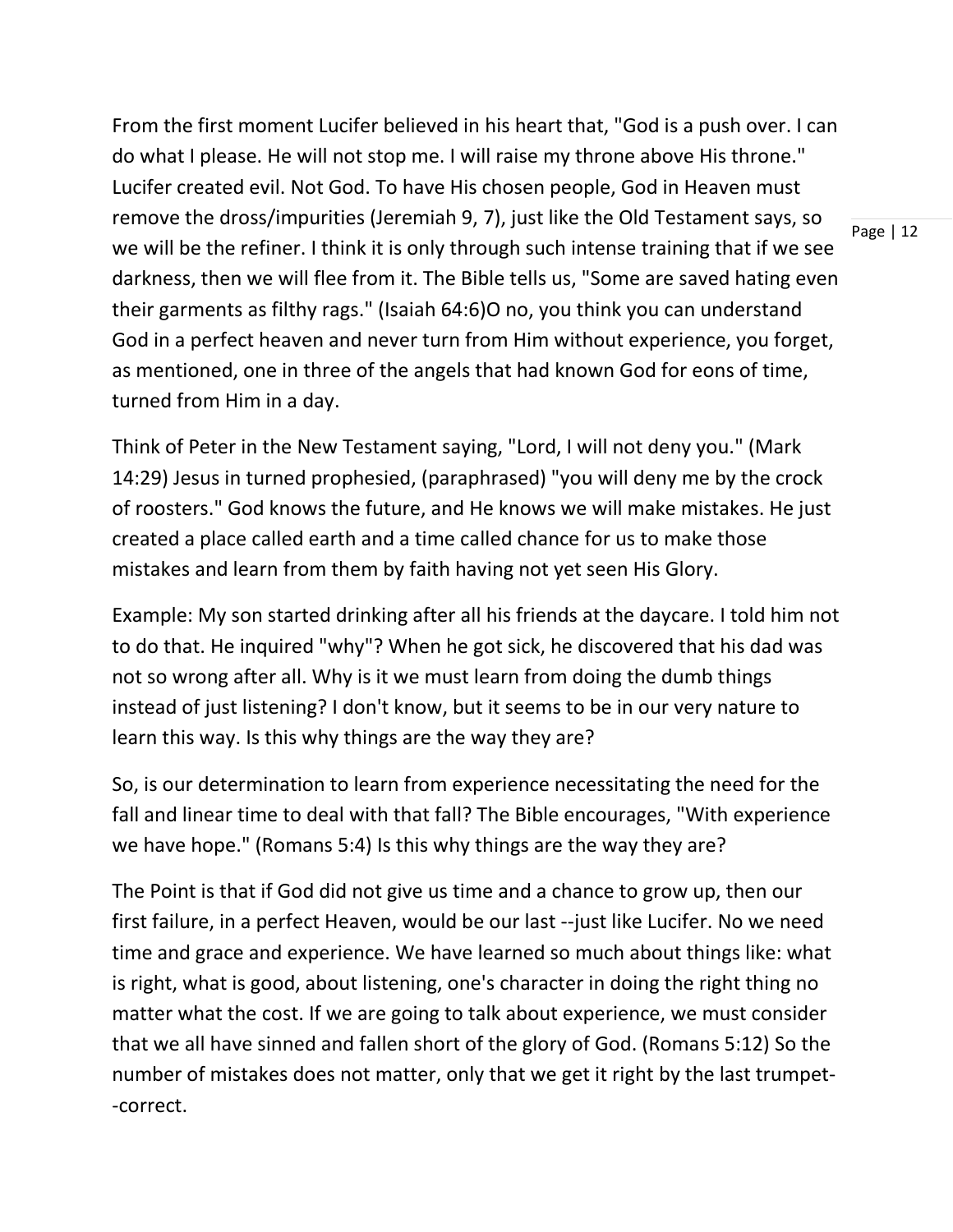From the first moment Lucifer believed in his heart that, "God is a push over. I can do what I please. He will not stop me. I will raise my throne above His throne." Lucifer created evil. Not God. To have His chosen people, God in Heaven must remove the dross/impurities (Jeremiah 9, 7), just like the Old Testament says, so we will be the refiner. I think it is only through such intense training that if we see darkness, then we will flee from it. The Bible tells us, "Some are saved hating even their garments as filthy rags." (Isaiah 64:6)O no, you think you can understand God in a perfect heaven and never turn from Him without experience, you forget, as mentioned, one in three of the angels that had known God for eons of time, turned from Him in a day.

Think of Peter in the New Testament saying, "Lord, I will not deny you." (Mark 14:29) Jesus in turned prophesied, (paraphrased) "you will deny me by the crock of roosters." God knows the future, and He knows we will make mistakes. He just created a place called earth and a time called chance for us to make those mistakes and learn from them by faith having not yet seen His Glory.

Example: My son started drinking after all his friends at the daycare. I told him not to do that. He inquired "why"? When he got sick, he discovered that his dad was not so wrong after all. Why is it we must learn from doing the dumb things instead of just listening? I don't know, but it seems to be in our very nature to learn this way. Is this why things are the way they are?

So, is our determination to learn from experience necessitating the need for the fall and linear time to deal with that fall? The Bible encourages, "With experience we have hope." (Romans 5:4) Is this why things are the way they are?

The Point is that if God did not give us time and a chance to grow up, then our first failure, in a perfect Heaven, would be our last --just like Lucifer. No we need time and grace and experience. We have learned so much about things like: what is right, what is good, about listening, one's character in doing the right thing no matter what the cost. If we are going to talk about experience, we must consider that we all have sinned and fallen short of the glory of God. (Romans 5:12) So the number of mistakes does not matter, only that we get it right by the last trumpet- -correct.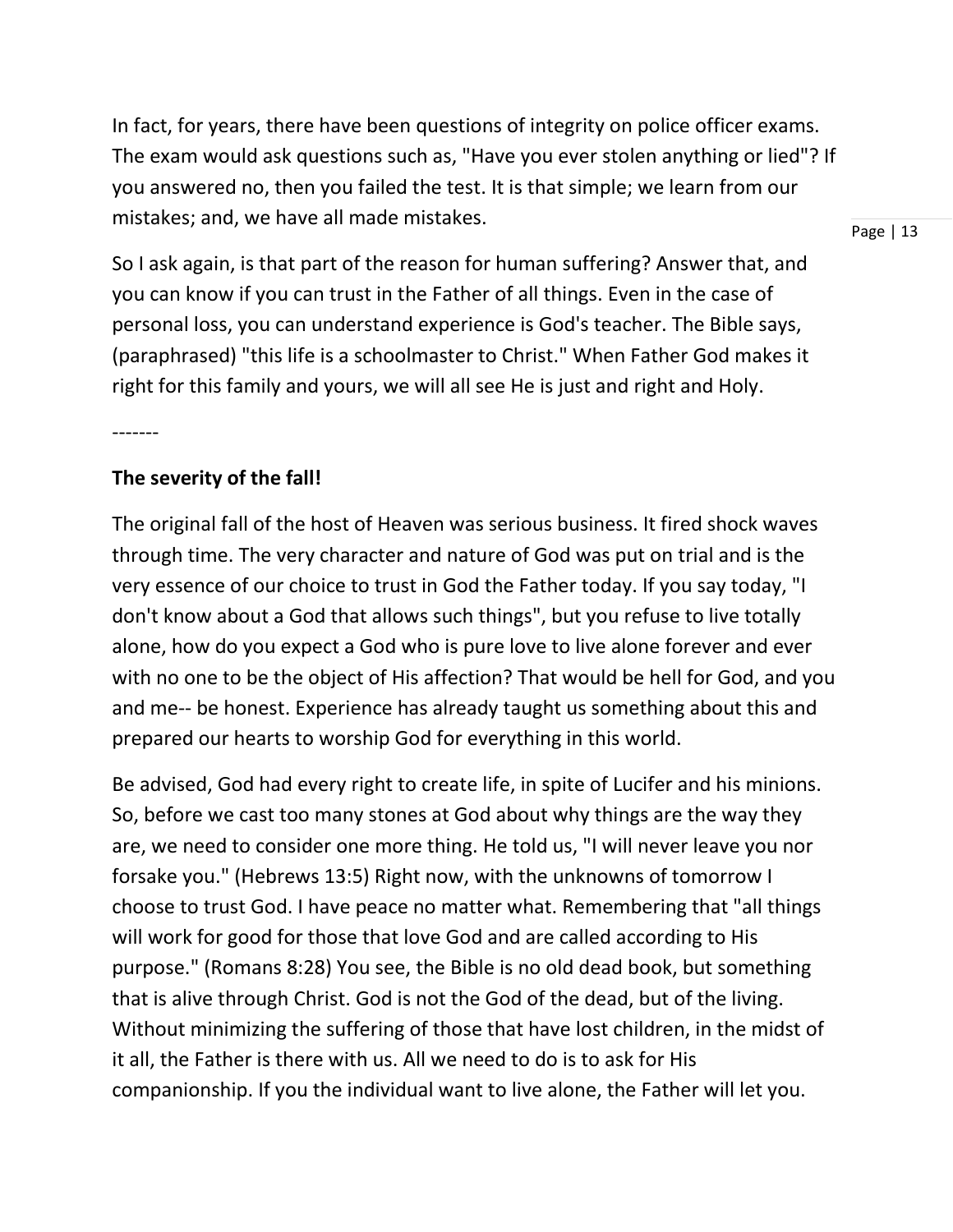In fact, for years, there have been questions of integrity on police officer exams. The exam would ask questions such as, "Have you ever stolen anything or lied"? If you answered no, then you failed the test. It is that simple; we learn from our mistakes; and, we have all made mistakes.

Page | 13

So I ask again, is that part of the reason for human suffering? Answer that, and you can know if you can trust in the Father of all things. Even in the case of personal loss, you can understand experience is God's teacher. The Bible says, (paraphrased) "this life is a schoolmaster to Christ." When Father God makes it right for this family and yours, we will all see He is just and right and Holy.

-------

# **The severity of the fall!**

The original fall of the host of Heaven was serious business. It fired shock waves through time. The very character and nature of God was put on trial and is the very essence of our choice to trust in God the Father today. If you say today, "I don't know about a God that allows such things", but you refuse to live totally alone, how do you expect a God who is pure love to live alone forever and ever with no one to be the object of His affection? That would be hell for God, and you and me-- be honest. Experience has already taught us something about this and prepared our hearts to worship God for everything in this world.

Be advised, God had every right to create life, in spite of Lucifer and his minions. So, before we cast too many stones at God about why things are the way they are, we need to consider one more thing. He told us, "I will never leave you nor forsake you." (Hebrews 13:5) Right now, with the unknowns of tomorrow I choose to trust God. I have peace no matter what. Remembering that "all things will work for good for those that love God and are called according to His purpose." (Romans 8:28) You see, the Bible is no old dead book, but something that is alive through Christ. God is not the God of the dead, but of the living. Without minimizing the suffering of those that have lost children, in the midst of it all, the Father is there with us. All we need to do is to ask for His companionship. If you the individual want to live alone, the Father will let you.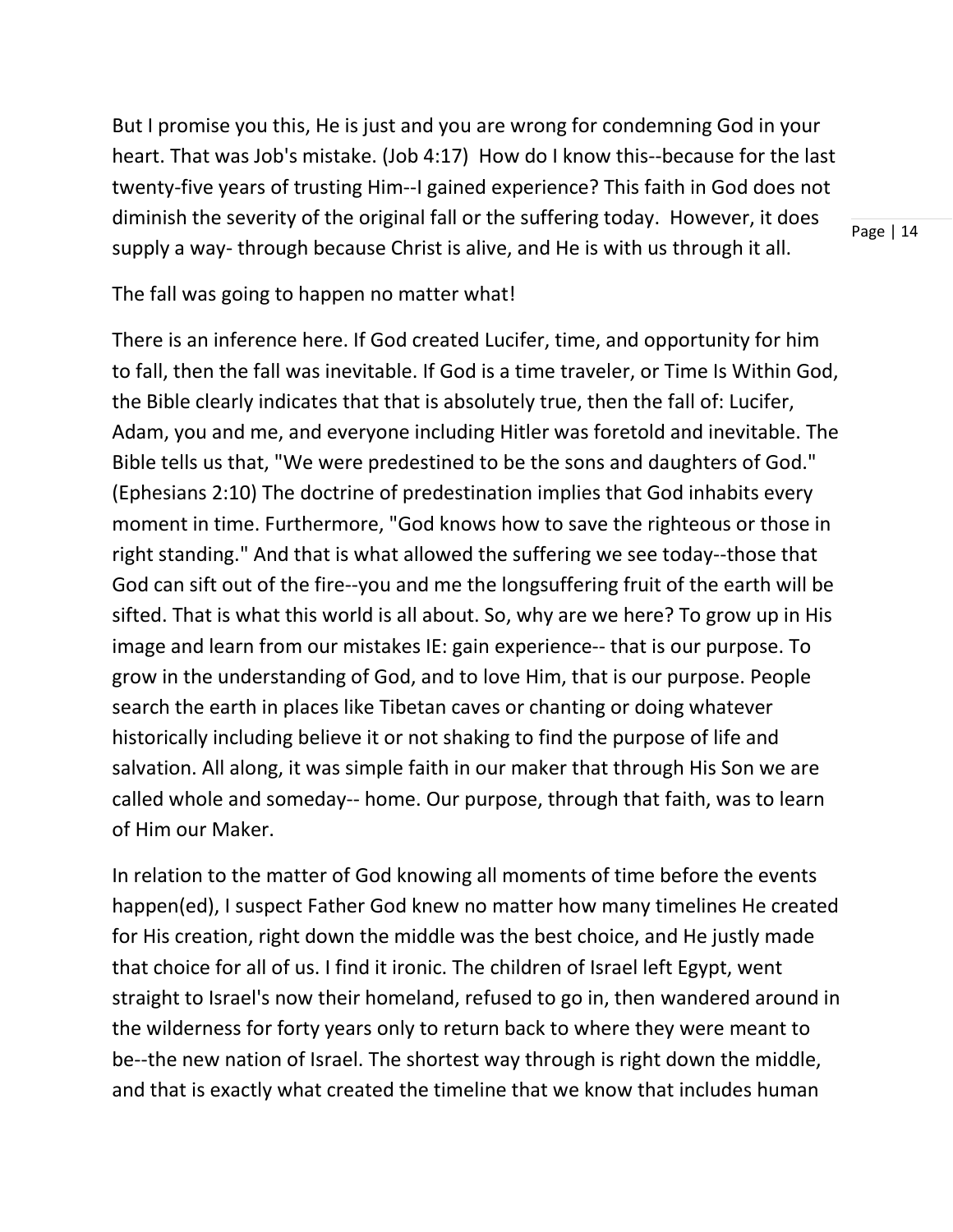But I promise you this, He is just and you are wrong for condemning God in your heart. That was Job's mistake. (Job 4:17) How do I know this--because for the last twenty-five years of trusting Him--I gained experience? This faith in God does not diminish the severity of the original fall or the suffering today. However, it does supply a way- through because Christ is alive, and He is with us through it all.

Page | 14

The fall was going to happen no matter what!

There is an inference here. If God created Lucifer, time, and opportunity for him to fall, then the fall was inevitable. If God is a time traveler, or Time Is Within God, the Bible clearly indicates that that is absolutely true, then the fall of: Lucifer, Adam, you and me, and everyone including Hitler was foretold and inevitable. The Bible tells us that, "We were predestined to be the sons and daughters of God." (Ephesians 2:10) The doctrine of predestination implies that God inhabits every moment in time. Furthermore, "God knows how to save the righteous or those in right standing." And that is what allowed the suffering we see today--those that God can sift out of the fire--you and me the longsuffering fruit of the earth will be sifted. That is what this world is all about. So, why are we here? To grow up in His image and learn from our mistakes IE: gain experience-- that is our purpose. To grow in the understanding of God, and to love Him, that is our purpose. People search the earth in places like Tibetan caves or chanting or doing whatever historically including believe it or not shaking to find the purpose of life and salvation. All along, it was simple faith in our maker that through His Son we are called whole and someday-- home. Our purpose, through that faith, was to learn of Him our Maker.

In relation to the matter of God knowing all moments of time before the events happen(ed), I suspect Father God knew no matter how many timelines He created for His creation, right down the middle was the best choice, and He justly made that choice for all of us. I find it ironic. The children of Israel left Egypt, went straight to Israel's now their homeland, refused to go in, then wandered around in the wilderness for forty years only to return back to where they were meant to be--the new nation of Israel. The shortest way through is right down the middle, and that is exactly what created the timeline that we know that includes human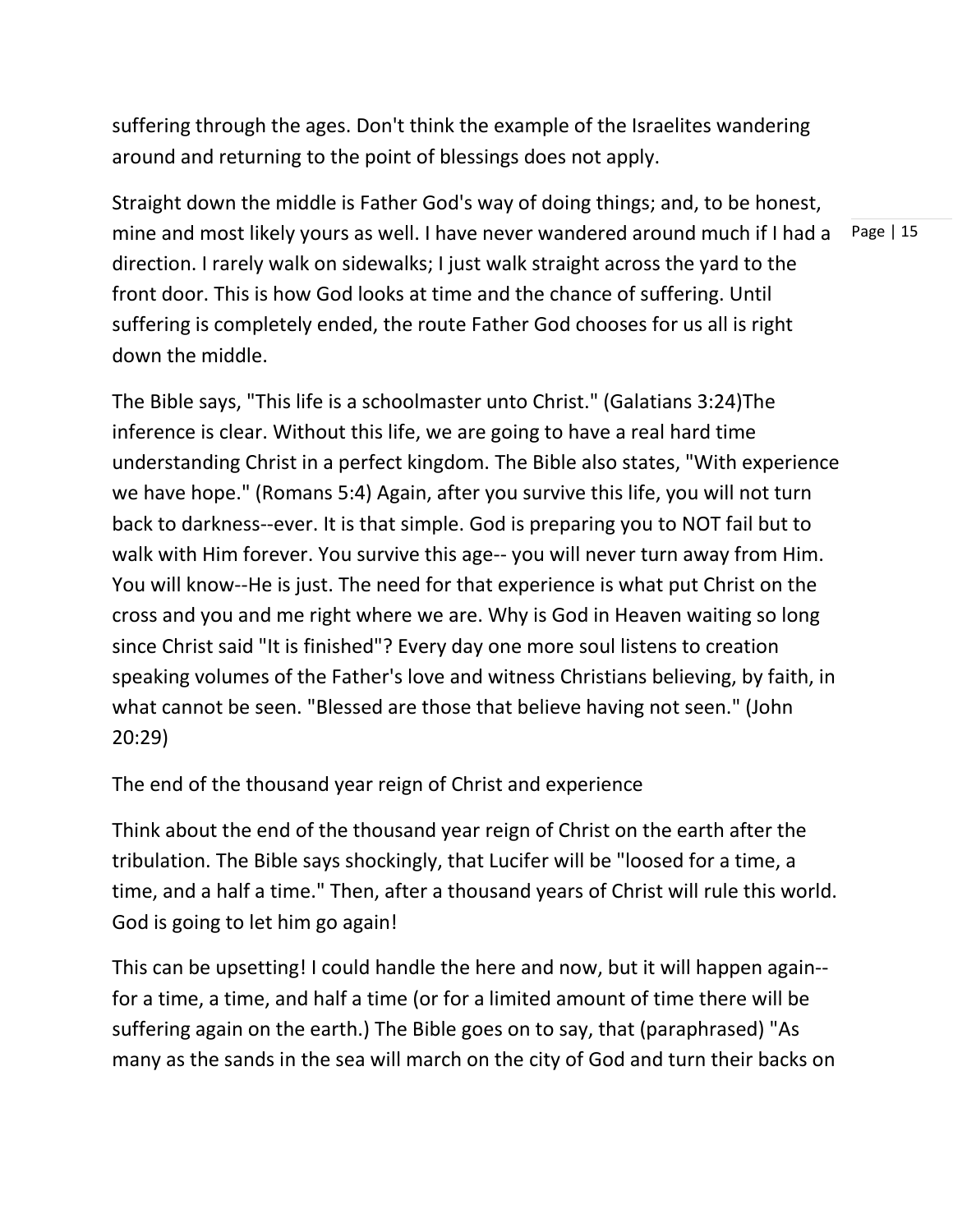suffering through the ages. Don't think the example of the Israelites wandering around and returning to the point of blessings does not apply.

Page | 15 Straight down the middle is Father God's way of doing things; and, to be honest, mine and most likely yours as well. I have never wandered around much if I had a direction. I rarely walk on sidewalks; I just walk straight across the yard to the front door. This is how God looks at time and the chance of suffering. Until suffering is completely ended, the route Father God chooses for us all is right down the middle.

The Bible says, "This life is a schoolmaster unto Christ." (Galatians 3:24)The inference is clear. Without this life, we are going to have a real hard time understanding Christ in a perfect kingdom. The Bible also states, "With experience we have hope." (Romans 5:4) Again, after you survive this life, you will not turn back to darkness--ever. It is that simple. God is preparing you to NOT fail but to walk with Him forever. You survive this age-- you will never turn away from Him. You will know--He is just. The need for that experience is what put Christ on the cross and you and me right where we are. Why is God in Heaven waiting so long since Christ said "It is finished"? Every day one more soul listens to creation speaking volumes of the Father's love and witness Christians believing, by faith, in what cannot be seen. "Blessed are those that believe having not seen." (John 20:29)

The end of the thousand year reign of Christ and experience

Think about the end of the thousand year reign of Christ on the earth after the tribulation. The Bible says shockingly, that Lucifer will be "loosed for a time, a time, and a half a time." Then, after a thousand years of Christ will rule this world. God is going to let him go again!

This can be upsetting! I could handle the here and now, but it will happen again- for a time, a time, and half a time (or for a limited amount of time there will be suffering again on the earth.) The Bible goes on to say, that (paraphrased) "As many as the sands in the sea will march on the city of God and turn their backs on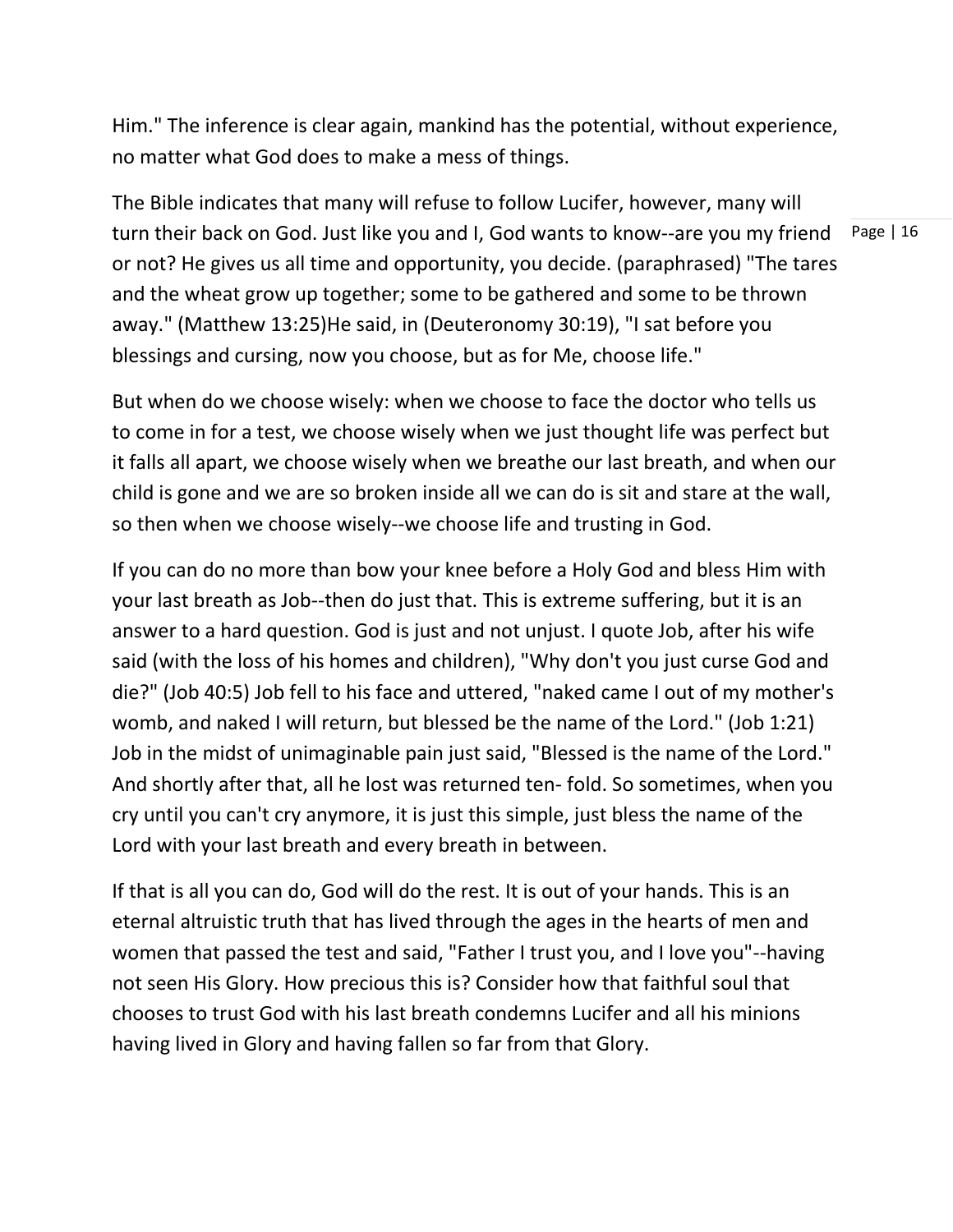Him." The inference is clear again, mankind has the potential, without experience, no matter what God does to make a mess of things.

turn their back on God. Just like you and I, God wants to know--are you my friend Page | 16 The Bible indicates that many will refuse to follow Lucifer, however, many will or not? He gives us all time and opportunity, you decide. (paraphrased) "The tares and the wheat grow up together; some to be gathered and some to be thrown away." (Matthew 13:25)He said, in (Deuteronomy 30:19), "I sat before you blessings and cursing, now you choose, but as for Me, choose life."

But when do we choose wisely: when we choose to face the doctor who tells us to come in for a test, we choose wisely when we just thought life was perfect but it falls all apart, we choose wisely when we breathe our last breath, and when our child is gone and we are so broken inside all we can do is sit and stare at the wall, so then when we choose wisely--we choose life and trusting in God.

If you can do no more than bow your knee before a Holy God and bless Him with your last breath as Job--then do just that. This is extreme suffering, but it is an answer to a hard question. God is just and not unjust. I quote Job, after his wife said (with the loss of his homes and children), "Why don't you just curse God and die?" (Job 40:5) Job fell to his face and uttered, "naked came I out of my mother's womb, and naked I will return, but blessed be the name of the Lord." (Job 1:21) Job in the midst of unimaginable pain just said, "Blessed is the name of the Lord." And shortly after that, all he lost was returned ten- fold. So sometimes, when you cry until you can't cry anymore, it is just this simple, just bless the name of the Lord with your last breath and every breath in between.

If that is all you can do, God will do the rest. It is out of your hands. This is an eternal altruistic truth that has lived through the ages in the hearts of men and women that passed the test and said, "Father I trust you, and I love you"--having not seen His Glory. How precious this is? Consider how that faithful soul that chooses to trust God with his last breath condemns Lucifer and all his minions having lived in Glory and having fallen so far from that Glory.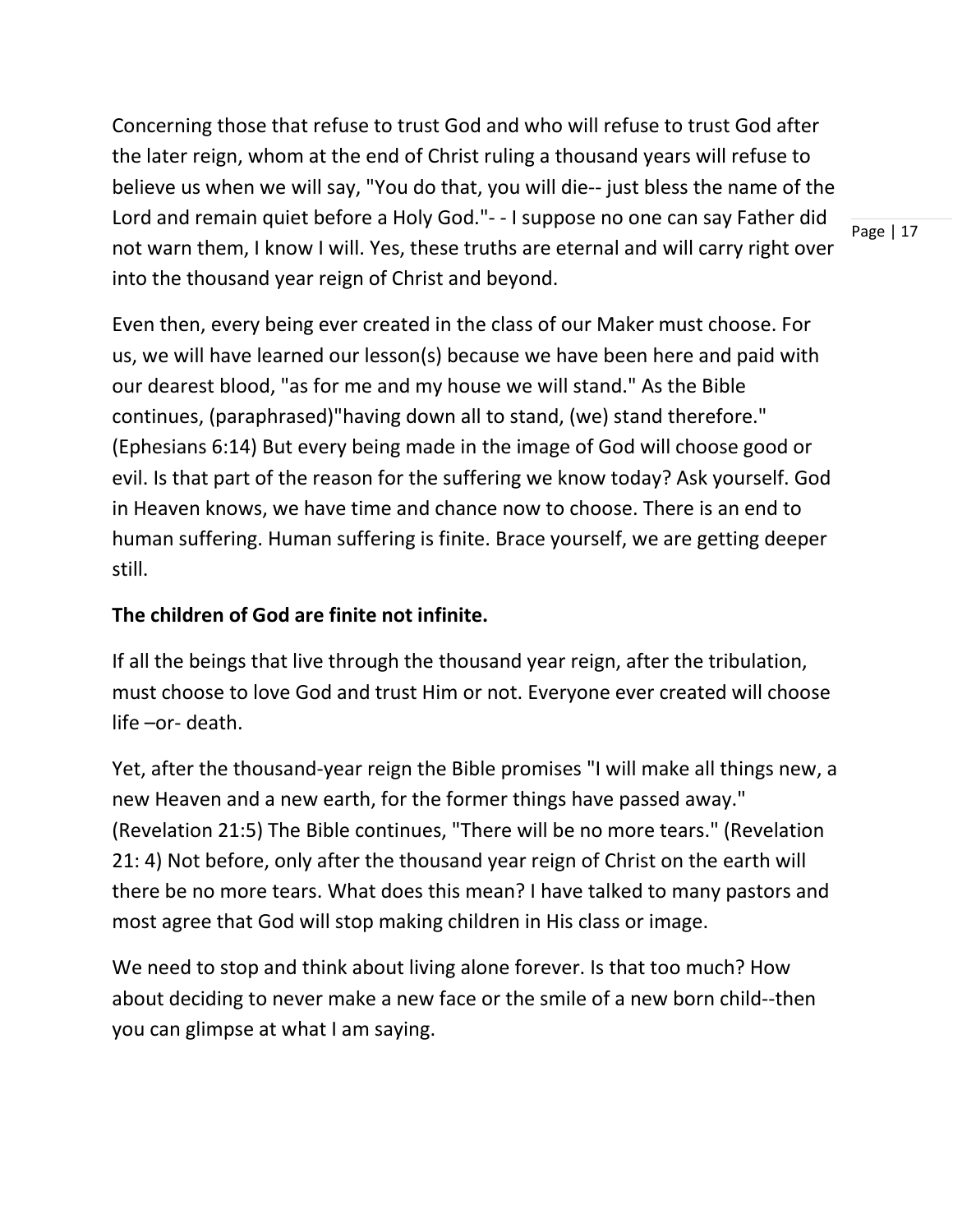Concerning those that refuse to trust God and who will refuse to trust God after the later reign, whom at the end of Christ ruling a thousand years will refuse to believe us when we will say, "You do that, you will die-- just bless the name of the Lord and remain quiet before a Holy God."- - I suppose no one can say Father did not warn them, I know I will. Yes, these truths are eternal and will carry right over into the thousand year reign of Christ and beyond.

Page | 17

Even then, every being ever created in the class of our Maker must choose. For us, we will have learned our lesson(s) because we have been here and paid with our dearest blood, "as for me and my house we will stand." As the Bible continues, (paraphrased)"having down all to stand, (we) stand therefore." (Ephesians 6:14) But every being made in the image of God will choose good or evil. Is that part of the reason for the suffering we know today? Ask yourself. God in Heaven knows, we have time and chance now to choose. There is an end to human suffering. Human suffering is finite. Brace yourself, we are getting deeper still.

# **The children of God are finite not infinite.**

If all the beings that live through the thousand year reign, after the tribulation, must choose to love God and trust Him or not. Everyone ever created will choose life –or- death.

Yet, after the thousand-year reign the Bible promises "I will make all things new, a new Heaven and a new earth, for the former things have passed away." (Revelation 21:5) The Bible continues, "There will be no more tears." (Revelation 21: 4) Not before, only after the thousand year reign of Christ on the earth will there be no more tears. What does this mean? I have talked to many pastors and most agree that God will stop making children in His class or image.

We need to stop and think about living alone forever. Is that too much? How about deciding to never make a new face or the smile of a new born child--then you can glimpse at what I am saying.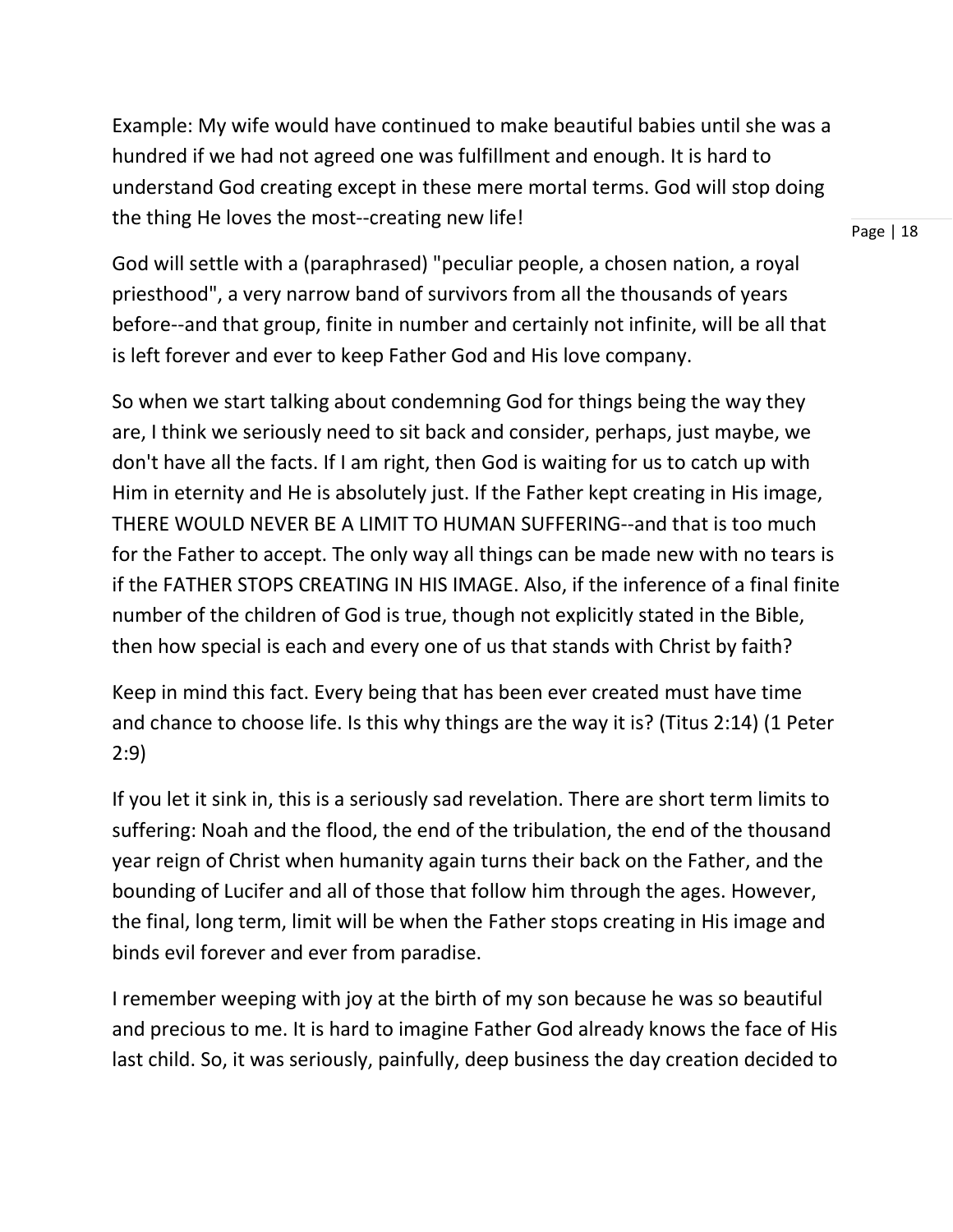Example: My wife would have continued to make beautiful babies until she was a hundred if we had not agreed one was fulfillment and enough. It is hard to understand God creating except in these mere mortal terms. God will stop doing the thing He loves the most--creating new life!

Page | 18

God will settle with a (paraphrased) "peculiar people, a chosen nation, a royal priesthood", a very narrow band of survivors from all the thousands of years before--and that group, finite in number and certainly not infinite, will be all that is left forever and ever to keep Father God and His love company.

So when we start talking about condemning God for things being the way they are, I think we seriously need to sit back and consider, perhaps, just maybe, we don't have all the facts. If I am right, then God is waiting for us to catch up with Him in eternity and He is absolutely just. If the Father kept creating in His image, THERE WOULD NEVER BE A LIMIT TO HUMAN SUFFERING--and that is too much for the Father to accept. The only way all things can be made new with no tears is if the FATHER STOPS CREATING IN HIS IMAGE. Also, if the inference of a final finite number of the children of God is true, though not explicitly stated in the Bible, then how special is each and every one of us that stands with Christ by faith?

Keep in mind this fact. Every being that has been ever created must have time and chance to choose life. Is this why things are the way it is? (Titus 2:14) (1 Peter 2:9)

If you let it sink in, this is a seriously sad revelation. There are short term limits to suffering: Noah and the flood, the end of the tribulation, the end of the thousand year reign of Christ when humanity again turns their back on the Father, and the bounding of Lucifer and all of those that follow him through the ages. However, the final, long term, limit will be when the Father stops creating in His image and binds evil forever and ever from paradise.

I remember weeping with joy at the birth of my son because he was so beautiful and precious to me. It is hard to imagine Father God already knows the face of His last child. So, it was seriously, painfully, deep business the day creation decided to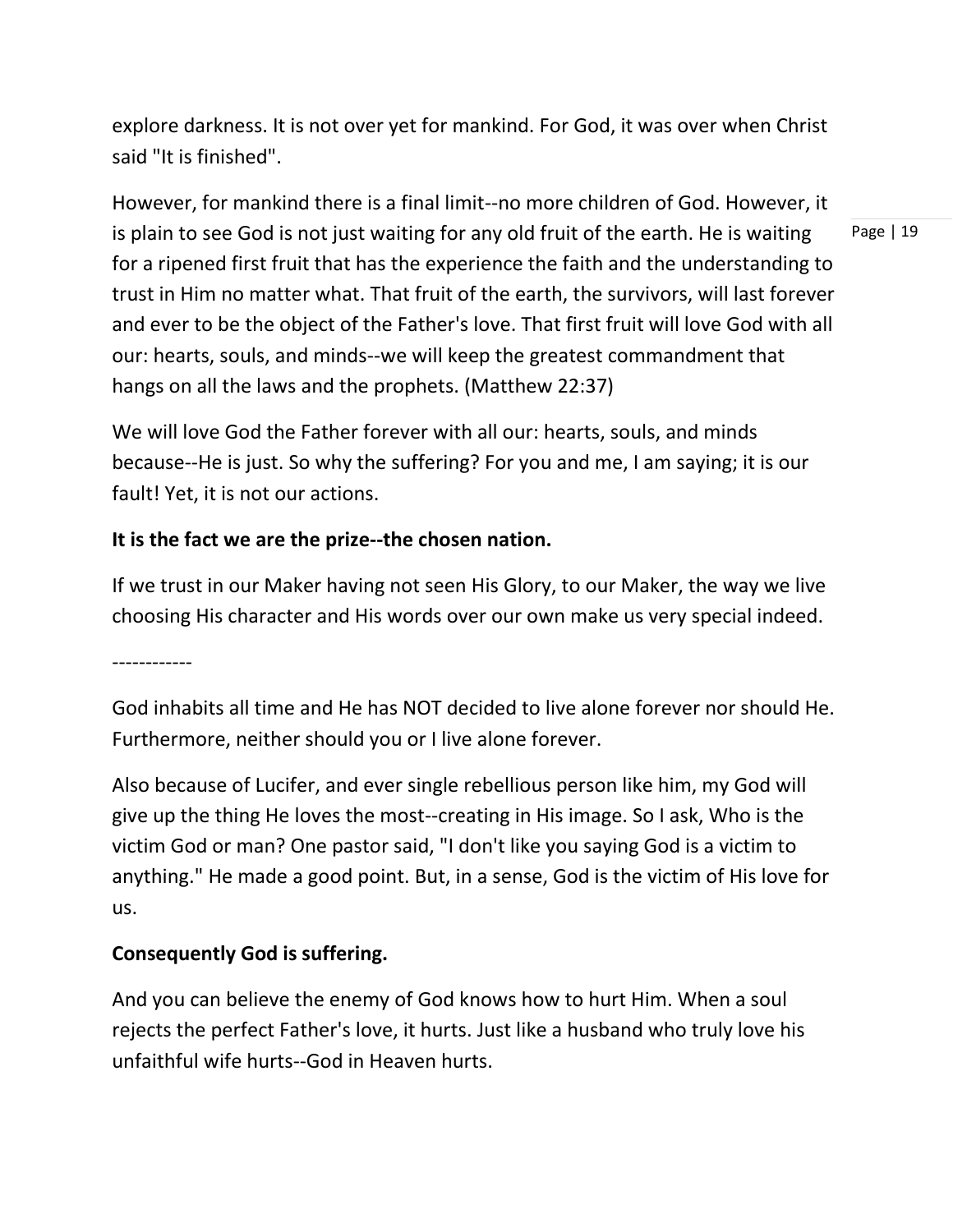explore darkness. It is not over yet for mankind. For God, it was over when Christ said "It is finished".

However, for mankind there is a final limit--no more children of God. However, it is plain to see God is not just waiting for any old fruit of the earth. He is waiting for a ripened first fruit that has the experience the faith and the understanding to trust in Him no matter what. That fruit of the earth, the survivors, will last forever and ever to be the object of the Father's love. That first fruit will love God with all our: hearts, souls, and minds--we will keep the greatest commandment that hangs on all the laws and the prophets. (Matthew 22:37)

We will love God the Father forever with all our: hearts, souls, and minds because--He is just. So why the suffering? For you and me, I am saying; it is our fault! Yet, it is not our actions.

## **It is the fact we are the prize--the chosen nation.**

If we trust in our Maker having not seen His Glory, to our Maker, the way we live choosing His character and His words over our own make us very special indeed.

------------

God inhabits all time and He has NOT decided to live alone forever nor should He. Furthermore, neither should you or I live alone forever.

Also because of Lucifer, and ever single rebellious person like him, my God will give up the thing He loves the most--creating in His image. So I ask, Who is the victim God or man? One pastor said, "I don't like you saying God is a victim to anything." He made a good point. But, in a sense, God is the victim of His love for us.

#### **Consequently God is suffering.**

And you can believe the enemy of God knows how to hurt Him. When a soul rejects the perfect Father's love, it hurts. Just like a husband who truly love his unfaithful wife hurts--God in Heaven hurts.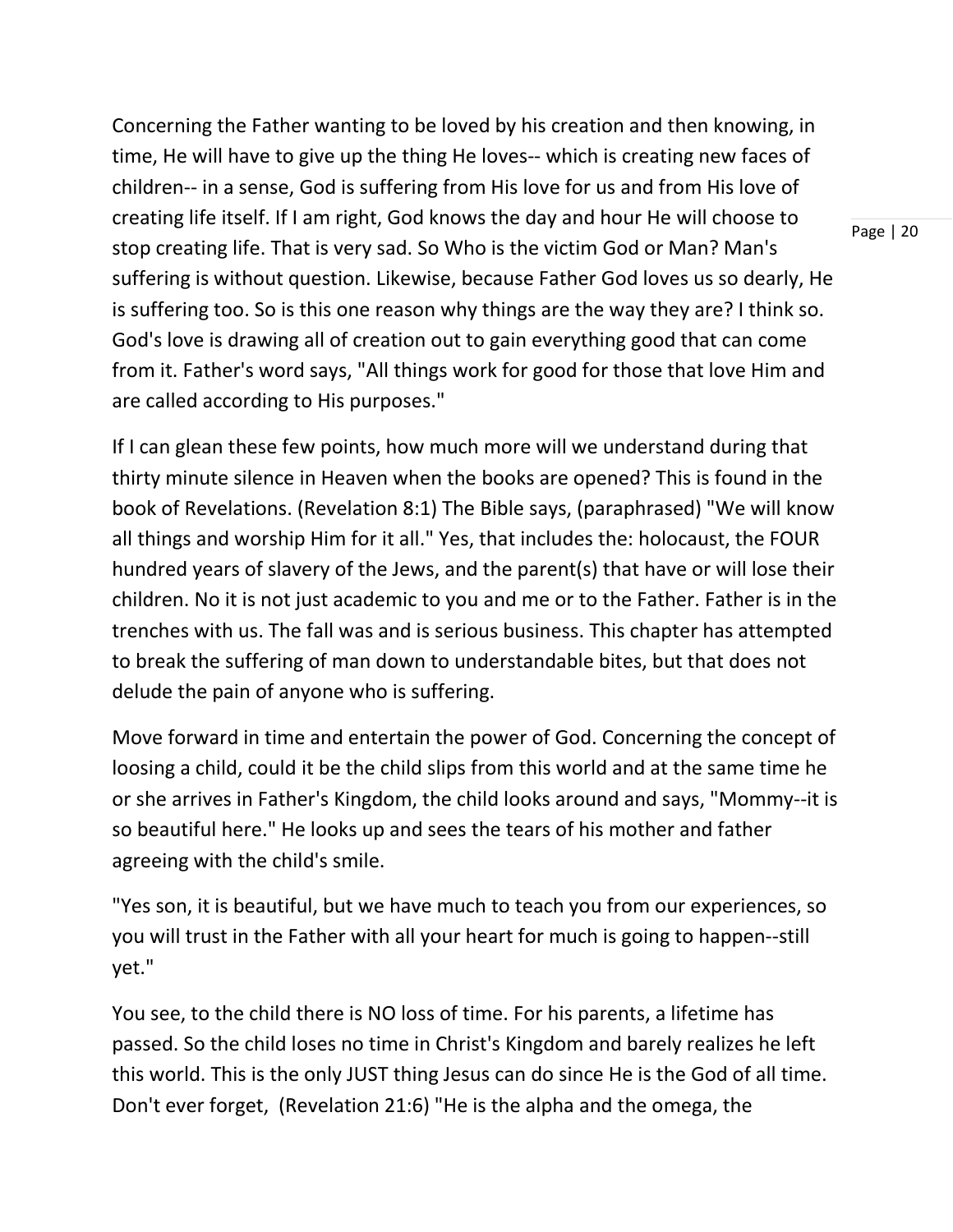Concerning the Father wanting to be loved by his creation and then knowing, in time, He will have to give up the thing He loves-- which is creating new faces of children-- in a sense, God is suffering from His love for us and from His love of creating life itself. If I am right, God knows the day and hour He will choose to stop creating life. That is very sad. So Who is the victim God or Man? Man's suffering is without question. Likewise, because Father God loves us so dearly, He is suffering too. So is this one reason why things are the way they are? I think so. God's love is drawing all of creation out to gain everything good that can come from it. Father's word says, "All things work for good for those that love Him and are called according to His purposes."

If I can glean these few points, how much more will we understand during that thirty minute silence in Heaven when the books are opened? This is found in the book of Revelations. (Revelation 8:1) The Bible says, (paraphrased) "We will know all things and worship Him for it all." Yes, that includes the: holocaust, the FOUR hundred years of slavery of the Jews, and the parent(s) that have or will lose their children. No it is not just academic to you and me or to the Father. Father is in the trenches with us. The fall was and is serious business. This chapter has attempted to break the suffering of man down to understandable bites, but that does not delude the pain of anyone who is suffering.

Move forward in time and entertain the power of God. Concerning the concept of loosing a child, could it be the child slips from this world and at the same time he or she arrives in Father's Kingdom, the child looks around and says, "Mommy--it is so beautiful here." He looks up and sees the tears of his mother and father agreeing with the child's smile.

"Yes son, it is beautiful, but we have much to teach you from our experiences, so you will trust in the Father with all your heart for much is going to happen--still yet."

You see, to the child there is NO loss of time. For his parents, a lifetime has passed. So the child loses no time in Christ's Kingdom and barely realizes he left this world. This is the only JUST thing Jesus can do since He is the God of all time. Don't ever forget, (Revelation 21:6) "He is the alpha and the omega, the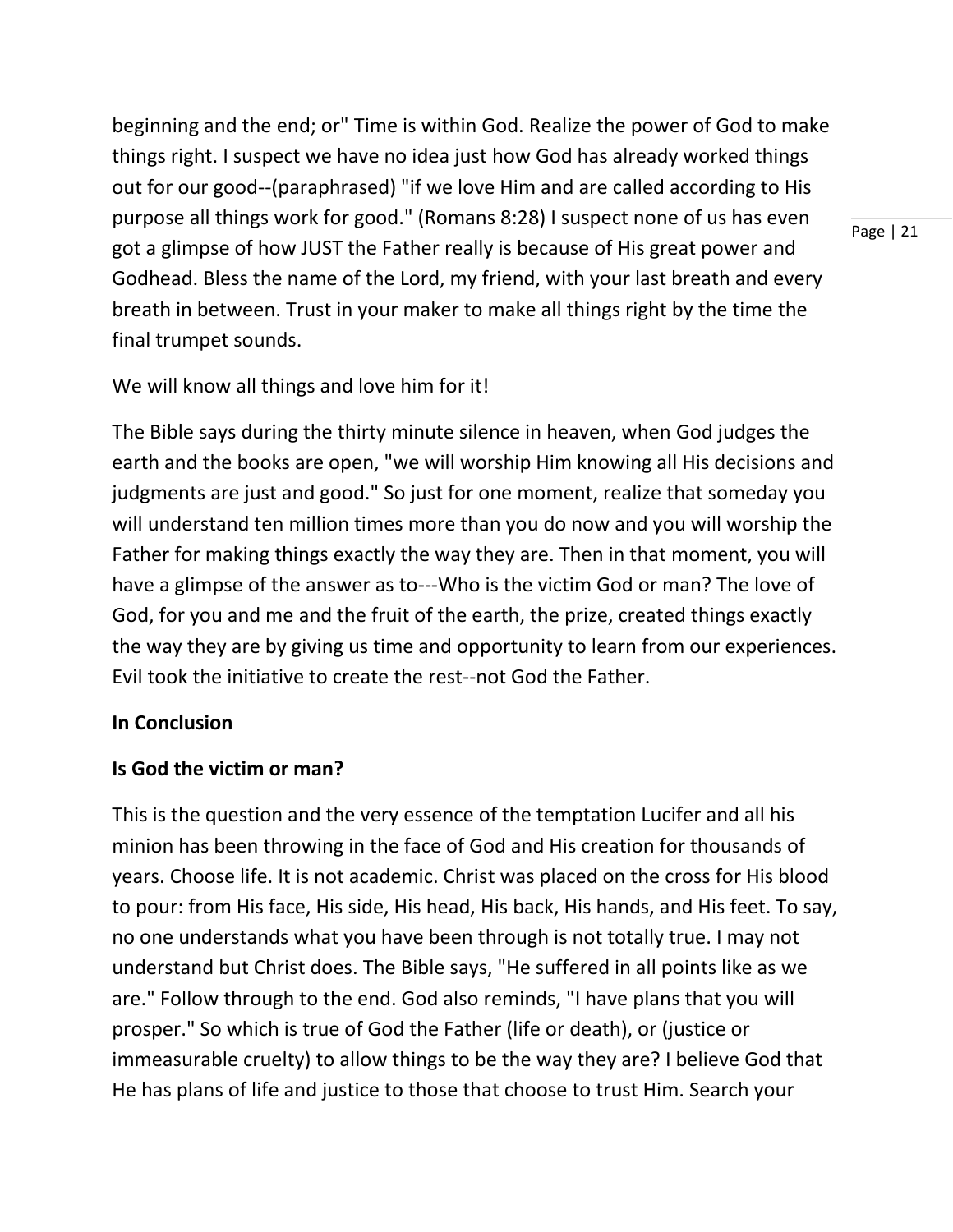beginning and the end; or" Time is within God. Realize the power of God to make things right. I suspect we have no idea just how God has already worked things out for our good--(paraphrased) "if we love Him and are called according to His purpose all things work for good." (Romans 8:28) I suspect none of us has even got a glimpse of how JUST the Father really is because of His great power and Godhead. Bless the name of the Lord, my friend, with your last breath and every breath in between. Trust in your maker to make all things right by the time the final trumpet sounds.

We will know all things and love him for it!

The Bible says during the thirty minute silence in heaven, when God judges the earth and the books are open, "we will worship Him knowing all His decisions and judgments are just and good." So just for one moment, realize that someday you will understand ten million times more than you do now and you will worship the Father for making things exactly the way they are. Then in that moment, you will have a glimpse of the answer as to---Who is the victim God or man? The love of God, for you and me and the fruit of the earth, the prize, created things exactly the way they are by giving us time and opportunity to learn from our experiences. Evil took the initiative to create the rest--not God the Father.

#### **In Conclusion**

#### **Is God the victim or man?**

This is the question and the very essence of the temptation Lucifer and all his minion has been throwing in the face of God and His creation for thousands of years. Choose life. It is not academic. Christ was placed on the cross for His blood to pour: from His face, His side, His head, His back, His hands, and His feet. To say, no one understands what you have been through is not totally true. I may not understand but Christ does. The Bible says, "He suffered in all points like as we are." Follow through to the end. God also reminds, "I have plans that you will prosper." So which is true of God the Father (life or death), or (justice or immeasurable cruelty) to allow things to be the way they are? I believe God that He has plans of life and justice to those that choose to trust Him. Search your